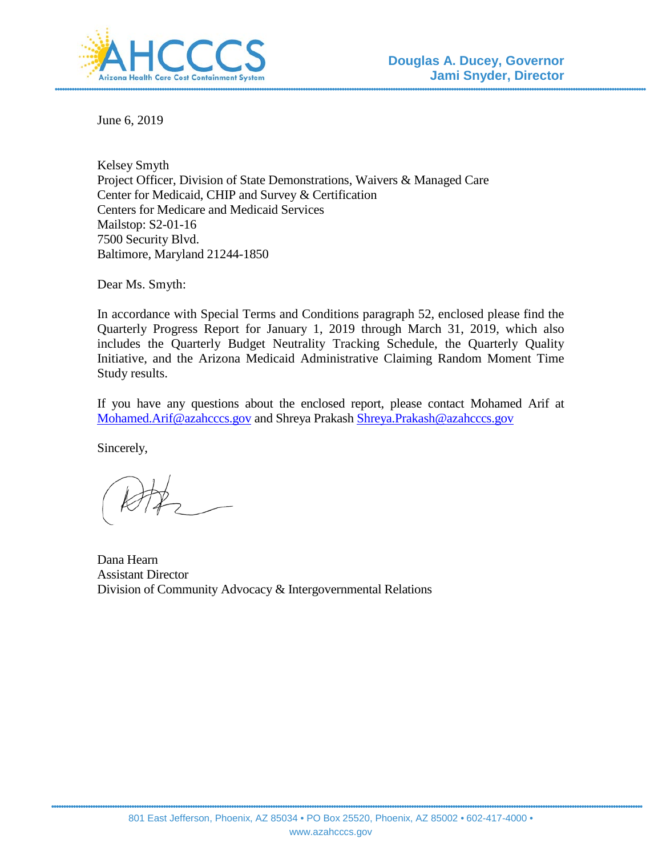

June 6, 2019

Kelsey Smyth Project Officer, Division of State Demonstrations, Waivers & Managed Care Center for Medicaid, CHIP and Survey & Certification Centers for Medicare and Medicaid Services Mailstop: S2-01-16 7500 Security Blvd. Baltimore, Maryland 21244-1850

Dear Ms. Smyth:

In accordance with Special Terms and Conditions paragraph 52, enclosed please find the Quarterly Progress Report for January 1, 2019 through March 31, 2019, which also includes the Quarterly Budget Neutrality Tracking Schedule, the Quarterly Quality Initiative, and the Arizona Medicaid Administrative Claiming Random Moment Time Study results.

If you have any questions about the enclosed report, please contact Mohamed Arif at [Mohamed.Arif@azahcccs.gov](mailto:Mohamed.Arif@azahcccs.gov) and Shreya Prakash [Shreya.Prakash@azahcccs.gov](mailto:Shreya.Prakash@azahcccs.gov)

Sincerely,

Dana Hearn Assistant Director Division of Community Advocacy & Intergovernmental Relations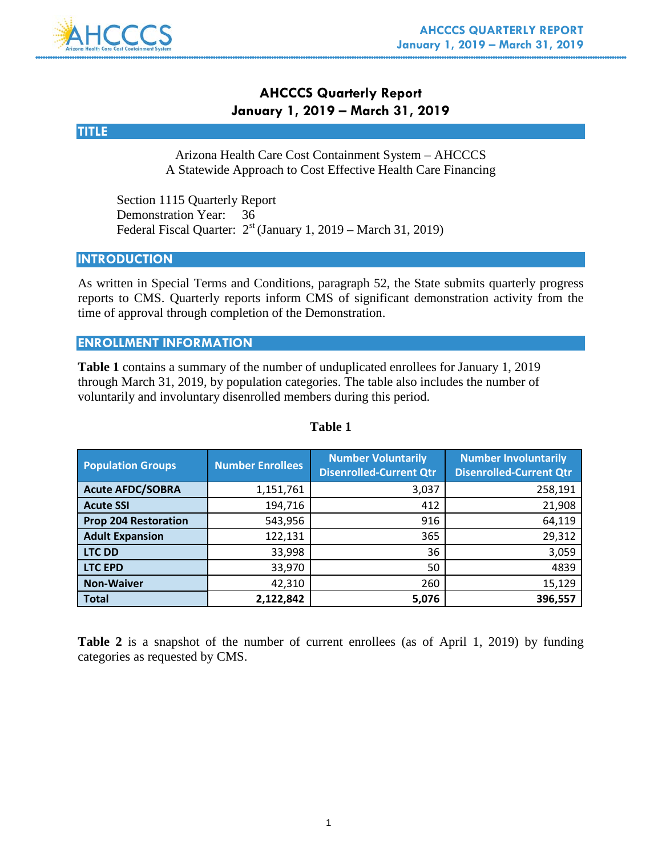## **AHCCCS Quarterly Report January 1, 2019 – March 31, 2019**

### **TITLE**

Arizona Health Care Cost Containment System – AHCCCS A Statewide Approach to Cost Effective Health Care Financing

 Section 1115 Quarterly Report Demonstration Year: 36 Federal Fiscal Quarter:  $2^{st}$  (January 1, 2019 – March 31, 2019)

### **INTRODUCTION**

As written in Special Terms and Conditions, paragraph 52, the State submits quarterly progress reports to CMS. Quarterly reports inform CMS of significant demonstration activity from the time of approval through completion of the Demonstration.

### **ENROLLMENT INFORMATION**

**Table 1** contains a summary of the number of unduplicated enrollees for January 1, 2019 through March 31, 2019, by population categories. The table also includes the number of voluntarily and involuntary disenrolled members during this period.

| <b>Population Groups</b>    | <b>Number Enrollees</b> | <b>Number Voluntarily</b><br><b>Disenrolled-Current Qtr</b> | <b>Number Involuntarily</b><br><b>Disenrolled-Current Qtr</b> |
|-----------------------------|-------------------------|-------------------------------------------------------------|---------------------------------------------------------------|
| <b>Acute AFDC/SOBRA</b>     | 1,151,761               | 3,037                                                       | 258,191                                                       |
| <b>Acute SSI</b>            | 194,716                 | 412                                                         | 21,908                                                        |
| <b>Prop 204 Restoration</b> | 543,956                 | 916                                                         | 64,119                                                        |
| <b>Adult Expansion</b>      | 122,131                 | 365                                                         | 29,312                                                        |
| <b>LTC DD</b>               | 33,998                  | 36                                                          | 3,059                                                         |
| <b>LTC EPD</b>              | 33,970                  | 50                                                          | 4839                                                          |
| <b>Non-Waiver</b>           | 42,310                  | 260                                                         | 15,129                                                        |
| <b>Total</b>                | 2,122,842               | 5,076                                                       | 396,557                                                       |

### **Table 1**

**Table 2** is a snapshot of the number of current enrollees (as of April 1, 2019) by funding categories as requested by CMS.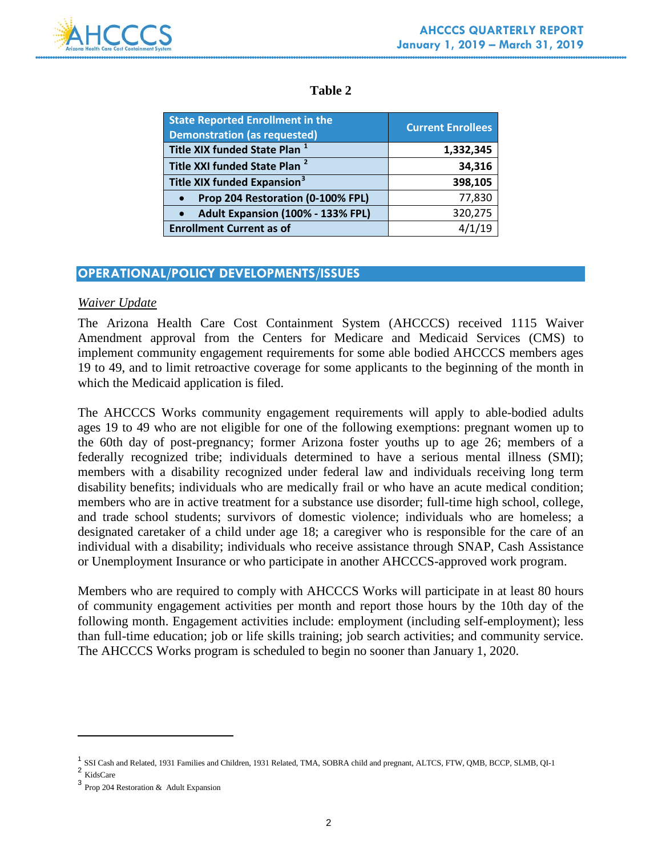

### **Table 2**

| <b>State Reported Enrollment in the</b><br><b>Demonstration (as requested)</b> | <b>Current Enrollees</b> |
|--------------------------------------------------------------------------------|--------------------------|
| Title XIX funded State Plan <sup>1</sup>                                       | 1,332,345                |
| Title XXI funded State Plan <sup>2</sup>                                       | 34,316                   |
| Title XIX funded Expansion <sup>3</sup>                                        | 398,105                  |
| Prop 204 Restoration (0-100% FPL)<br>$\bullet$                                 | 77,830                   |
| Adult Expansion (100% - 133% FPL)<br>$\bullet$                                 | 320,275                  |
| <b>Enrollment Current as of</b>                                                |                          |

## **OPERATIONAL/POLICY DEVELOPMENTS/ISSUES**

### *Waiver Update*

The Arizona Health Care Cost Containment System (AHCCCS) received 1115 Waiver Amendment approval from the Centers for Medicare and Medicaid Services (CMS) to implement community engagement requirements for some able bodied AHCCCS members ages 19 to 49, and to limit retroactive coverage for some applicants to the beginning of the month in which the Medicaid application is filed.

The AHCCCS Works community engagement requirements will apply to able-bodied adults ages 19 to 49 who are not eligible for one of the following exemptions: pregnant women up to the 60th day of post-pregnancy; former Arizona foster youths up to age 26; members of a federally recognized tribe; individuals determined to have a serious mental illness (SMI); members with a disability recognized under federal law and individuals receiving long term disability benefits; individuals who are medically frail or who have an acute medical condition; members who are in active treatment for a substance use disorder; full-time high school, college, and trade school students; survivors of domestic violence; individuals who are homeless; a designated caretaker of a child under age 18; a caregiver who is responsible for the care of an individual with a disability; individuals who receive assistance through SNAP, Cash Assistance or Unemployment Insurance or who participate in another AHCCCS-approved work program.

Members who are required to comply with AHCCCS Works will participate in at least 80 hours of community engagement activities per month and report those hours by the 10th day of the following month. Engagement activities include: employment (including self-employment); less than full-time education; job or life skills training; job search activities; and community service. The AHCCCS Works program is scheduled to begin no sooner than January 1, 2020.

 $\overline{a}$ 

<span id="page-2-0"></span><sup>&</sup>lt;sup>1</sup> SSI Cash and Related, 1931 Families and Children, 1931 Related, TMA, SOBRA child and pregnant, ALTCS, FTW, QMB, BCCP, SLMB, QI-1 <sup>2</sup>

**KidsCare** 

<span id="page-2-2"></span><span id="page-2-1"></span><sup>3</sup> Prop 204 Restoration & Adult Expansion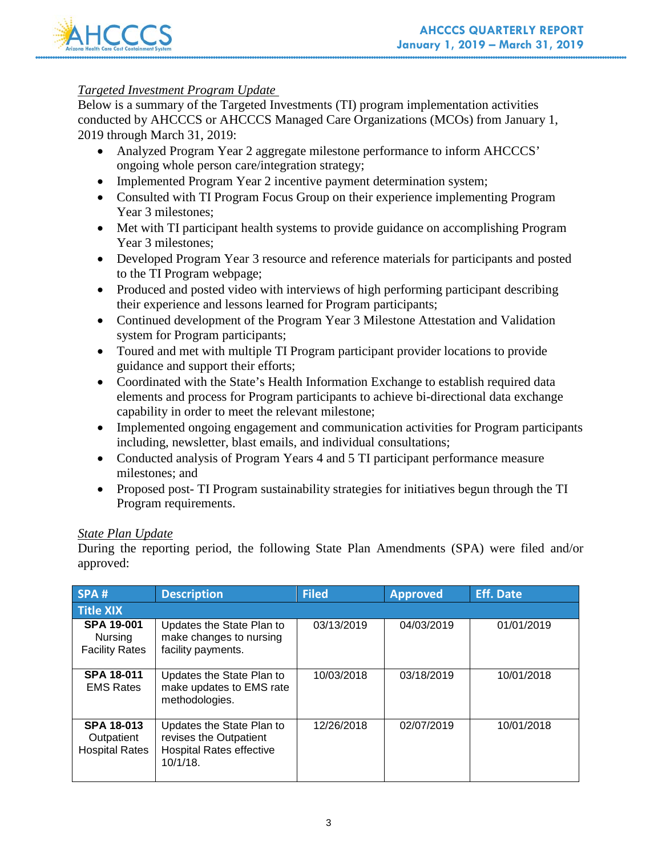

### *Targeted Investment Program Update*

Below is a summary of the Targeted Investments (TI) program implementation activities conducted by AHCCCS or AHCCCS Managed Care Organizations (MCOs) from January 1, 2019 through March 31, 2019:

- Analyzed Program Year 2 aggregate milestone performance to inform AHCCCS' ongoing whole person care/integration strategy;
- Implemented Program Year 2 incentive payment determination system;
- Consulted with TI Program Focus Group on their experience implementing Program Year 3 milestones;
- Met with TI participant health systems to provide guidance on accomplishing Program Year 3 milestones;
- Developed Program Year 3 resource and reference materials for participants and posted to the TI Program webpage;
- Produced and posted video with interviews of high performing participant describing their experience and lessons learned for Program participants;
- Continued development of the Program Year 3 Milestone Attestation and Validation system for Program participants;
- Toured and met with multiple TI Program participant provider locations to provide guidance and support their efforts;
- Coordinated with the State's Health Information Exchange to establish required data elements and process for Program participants to achieve bi-directional data exchange capability in order to meet the relevant milestone;
- Implemented ongoing engagement and communication activities for Program participants including, newsletter, blast emails, and individual consultations;
- Conducted analysis of Program Years 4 and 5 TI participant performance measure milestones; and
- Proposed post- TI Program sustainability strategies for initiatives begun through the TI Program requirements.

### *State Plan Update*

During the reporting period, the following State Plan Amendments (SPA) were filed and/or approved:

| SPA#                                                         | <b>Description</b>                                                                                    | <b>Filed</b> | <b>Approved</b> | <b>Eff. Date</b> |
|--------------------------------------------------------------|-------------------------------------------------------------------------------------------------------|--------------|-----------------|------------------|
| <b>Title XIX</b>                                             |                                                                                                       |              |                 |                  |
| <b>SPA 19-001</b><br><b>Nursing</b><br><b>Facility Rates</b> | Updates the State Plan to<br>make changes to nursing<br>facility payments.                            | 03/13/2019   | 04/03/2019      | 01/01/2019       |
| <b>SPA 18-011</b><br><b>EMS Rates</b>                        | Updates the State Plan to<br>make updates to EMS rate<br>methodologies.                               | 10/03/2018   | 03/18/2019      | 10/01/2018       |
| <b>SPA 18-013</b><br>Outpatient<br><b>Hospital Rates</b>     | Updates the State Plan to<br>revises the Outpatient<br><b>Hospital Rates effective</b><br>$10/1/18$ . | 12/26/2018   | 02/07/2019      | 10/01/2018       |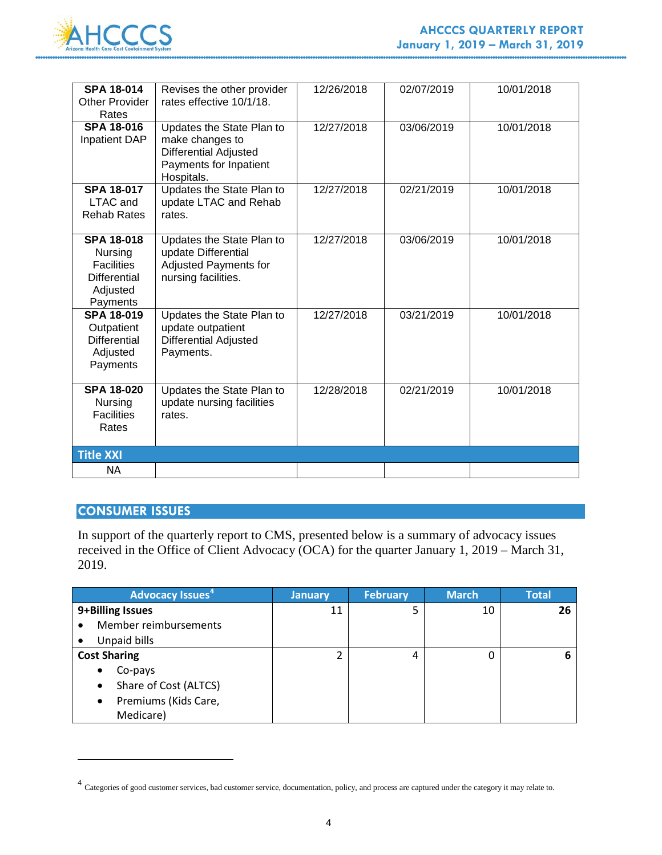

| <b>SPA 18-014</b><br><b>Other Provider</b><br>Rates                                       | Revises the other provider<br>rates effective 10/1/18.                                                               | 12/26/2018 | 02/07/2019 | 10/01/2018 |
|-------------------------------------------------------------------------------------------|----------------------------------------------------------------------------------------------------------------------|------------|------------|------------|
| <b>SPA 18-016</b><br><b>Inpatient DAP</b>                                                 | Updates the State Plan to<br>make changes to<br><b>Differential Adjusted</b><br>Payments for Inpatient<br>Hospitals. | 12/27/2018 | 03/06/2019 | 10/01/2018 |
| <b>SPA 18-017</b><br>LTAC and<br><b>Rehab Rates</b>                                       | Updates the State Plan to<br>update LTAC and Rehab<br>rates.                                                         | 12/27/2018 | 02/21/2019 | 10/01/2018 |
| <b>SPA 18-018</b><br>Nursing<br><b>Facilities</b><br>Differential<br>Adjusted<br>Payments | Updates the State Plan to<br>update Differential<br><b>Adjusted Payments for</b><br>nursing facilities.              | 12/27/2018 | 03/06/2019 | 10/01/2018 |
| <b>SPA 18-019</b><br>Outpatient<br><b>Differential</b><br>Adjusted<br>Payments            | Updates the State Plan to<br>update outpatient<br><b>Differential Adjusted</b><br>Payments.                          | 12/27/2018 | 03/21/2019 | 10/01/2018 |
| <b>SPA 18-020</b><br><b>Nursing</b><br><b>Facilities</b><br>Rates                         | Updates the State Plan to<br>update nursing facilities<br>rates.                                                     | 12/28/2018 | 02/21/2019 | 10/01/2018 |
| <b>Title XXI</b>                                                                          |                                                                                                                      |            |            |            |
| NA                                                                                        |                                                                                                                      |            |            |            |

### **CONSUMER ISSUES**

 $\overline{a}$ 

In support of the quarterly report to CMS, presented below is a summary of advocacy issues received in the Office of Client Advocacy (OCA) for the quarter January 1, 2019 – March 31, 2019.

| <b>Advocacy Issues</b> <sup>4</sup> | <b>January</b> | <b>February</b> | <b>March</b> | <b>Total</b> |
|-------------------------------------|----------------|-----------------|--------------|--------------|
| 9+Billing Issues                    | 11             | 5               | 10           | 26           |
| Member reimbursements<br>$\bullet$  |                |                 |              |              |
| Unpaid bills<br>$\bullet$           |                |                 |              |              |
| <b>Cost Sharing</b>                 |                | 4               | 0            | 6            |
| Co-pays<br>$\bullet$                |                |                 |              |              |
| Share of Cost (ALTCS)<br>٠          |                |                 |              |              |
| Premiums (Kids Care,<br>$\bullet$   |                |                 |              |              |
| Medicare)                           |                |                 |              |              |

<span id="page-4-0"></span><sup>4</sup> Categories of good customer services, bad customer service, documentation, policy, and process are captured under the category it may relate to.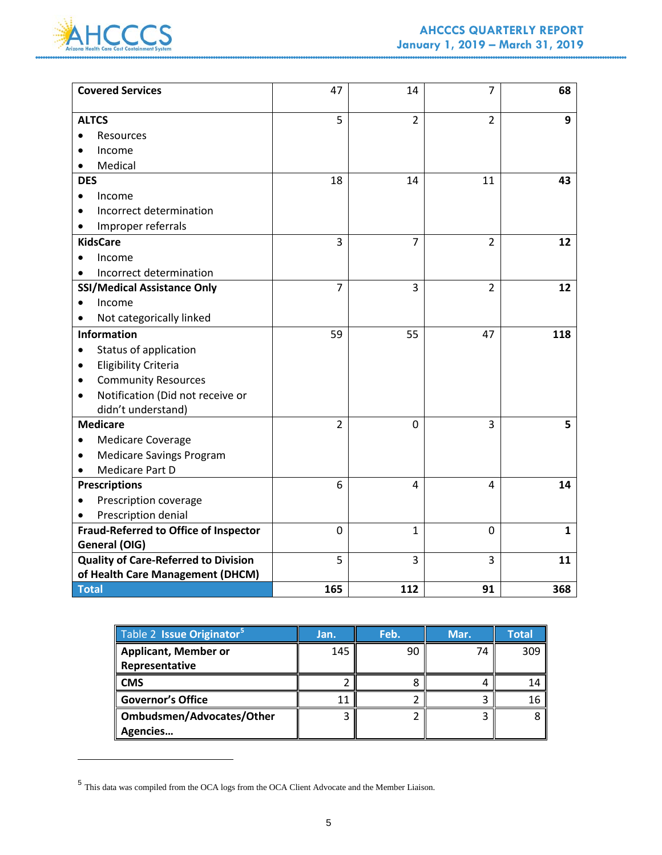

 $\overline{a}$ 

| <b>Covered Services</b>                      | 47             | 14             | $\overline{7}$ | 68           |
|----------------------------------------------|----------------|----------------|----------------|--------------|
| <b>ALTCS</b>                                 | 5              | $\overline{2}$ | $\overline{2}$ | 9            |
| Resources                                    |                |                |                |              |
| Income                                       |                |                |                |              |
| Medical                                      |                |                |                |              |
| <b>DES</b>                                   | 18             | 14             | 11             | 43           |
| Income                                       |                |                |                |              |
| Incorrect determination                      |                |                |                |              |
| Improper referrals                           |                |                |                |              |
| <b>KidsCare</b>                              | 3              | 7              | $\overline{2}$ | 12           |
| Income                                       |                |                |                |              |
| Incorrect determination                      |                |                |                |              |
| <b>SSI/Medical Assistance Only</b>           | 7              | 3              | $\overline{2}$ | 12           |
| Income                                       |                |                |                |              |
| Not categorically linked                     |                |                |                |              |
| <b>Information</b>                           | 59             | 55             | 47             | 118          |
| Status of application                        |                |                |                |              |
| <b>Eligibility Criteria</b><br>٠             |                |                |                |              |
| <b>Community Resources</b>                   |                |                |                |              |
| Notification (Did not receive or             |                |                |                |              |
| didn't understand)                           |                |                |                |              |
| <b>Medicare</b>                              | $\overline{2}$ | $\mathbf 0$    | 3              | 5            |
| <b>Medicare Coverage</b>                     |                |                |                |              |
| <b>Medicare Savings Program</b>              |                |                |                |              |
| Medicare Part D                              |                |                |                |              |
| <b>Prescriptions</b>                         | 6              | 4              | 4              | 14           |
| Prescription coverage                        |                |                |                |              |
| Prescription denial                          |                |                |                |              |
| <b>Fraud-Referred to Office of Inspector</b> | 0              | 1              | 0              | $\mathbf{1}$ |
| General (OIG)                                |                |                |                |              |
| <b>Quality of Care-Referred to Division</b>  | 5              | 3              | 3              | 11           |
| of Health Care Management (DHCM)             |                |                |                |              |
| Total                                        | 165            | 112            | 91             | 368          |

| Table 2 Issue Originator <sup>5</sup> | Jan. | Feb. | Mar. | <b>Total</b> |
|---------------------------------------|------|------|------|--------------|
| <b>Applicant, Member or</b>           | 145  | ٩C   | 74   | 309          |
| Representative                        |      |      |      |              |
| <b>CMS</b>                            |      |      |      |              |
| <b>Governor's Office</b>              |      |      |      | Ιb           |
| Ombudsmen/Advocates/Other             |      |      |      |              |
| Agencies                              |      |      |      |              |

<span id="page-5-0"></span> $^{\rm 5}$  This data was compiled from the OCA logs from the OCA Client Advocate and the Member Liaison.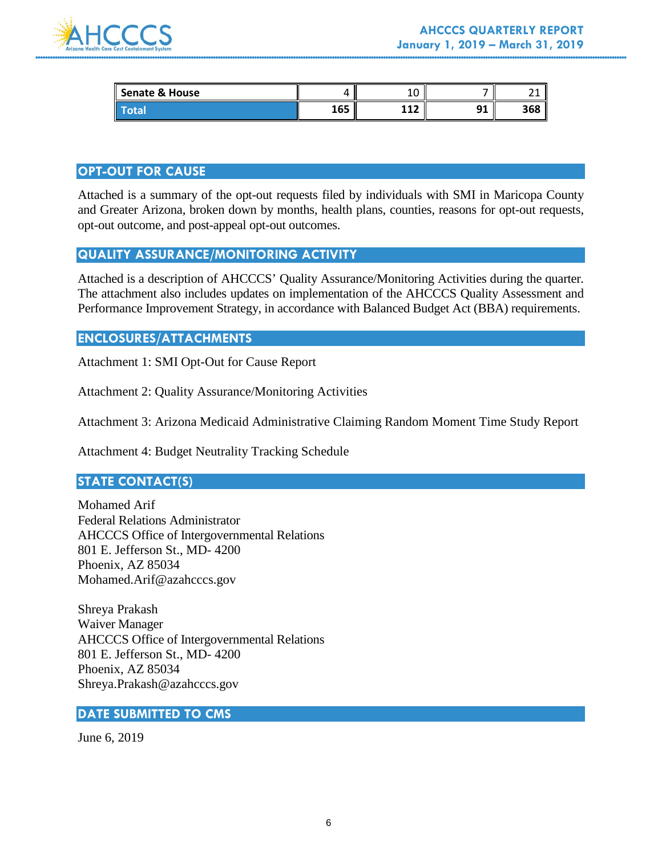

| Senate & House |              | $\overline{\phantom{a}}$<br>∸ | -              | ົ<br><u>.</u> |
|----------------|--------------|-------------------------------|----------------|---------------|
| Ι              | 1 C F<br>ᆚŮĴ | 449<br>---                    | <b>01</b><br>◡ | 368           |

### **OPT-OUT FOR CAUSE**

Attached is a summary of the opt-out requests filed by individuals with SMI in Maricopa County and Greater Arizona, broken down by months, health plans, counties, reasons for opt-out requests, opt-out outcome, and post-appeal opt-out outcomes.

### **QUALITY ASSURANCE/MONITORING ACTIVITY**

Attached is a description of AHCCCS' Quality Assurance/Monitoring Activities during the quarter. The attachment also includes updates on implementation of the AHCCCS Quality Assessment and Performance Improvement Strategy, in accordance with Balanced Budget Act (BBA) requirements.

### **ENCLOSURES/ATTACHMENTS**

Attachment 1: SMI Opt-Out for Cause Report

Attachment 2: Quality Assurance/Monitoring Activities

Attachment 3: Arizona Medicaid Administrative Claiming Random Moment Time Study Report

Attachment 4: Budget Neutrality Tracking Schedule

### **STATE CONTACT(S)**

Mohamed Arif Federal Relations Administrator AHCCCS Office of Intergovernmental Relations 801 E. Jefferson St., MD- 4200 Phoenix, AZ 85034 Mohamed.Arif@azahcccs.gov

Shreya Prakash Waiver Manager AHCCCS Office of Intergovernmental Relations 801 E. Jefferson St., MD- 4200 Phoenix, AZ 85034 Shreya.Prakash@azahcccs.gov

#### **DATE SUBMITTED TO CMS**

June 6, 2019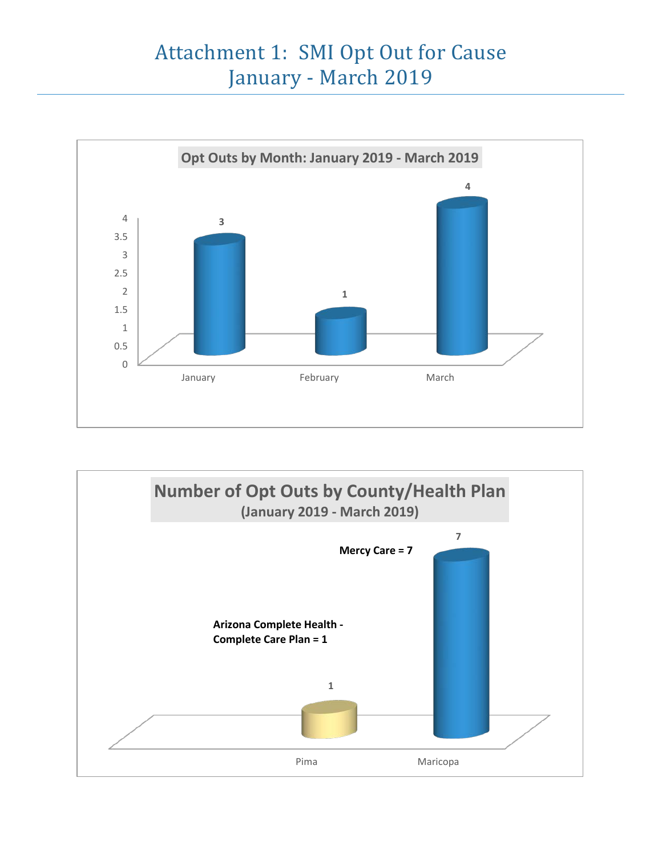# Attachment 1: SMI Opt Out for Cause January - March 2019



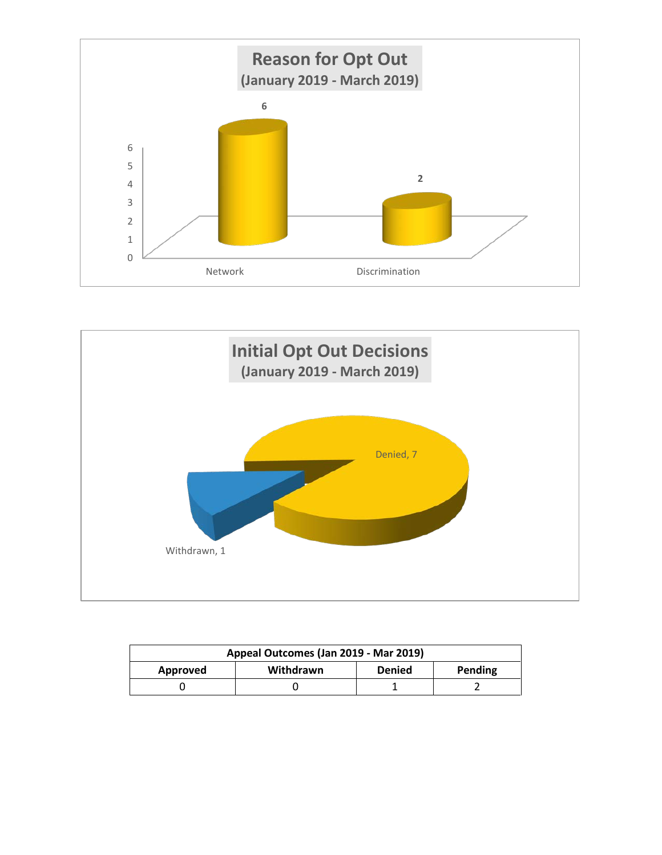



| Appeal Outcomes (Jan 2019 - Mar 2019) |           |               |         |
|---------------------------------------|-----------|---------------|---------|
| Approved                              | Withdrawn | <b>Denied</b> | Pending |
|                                       |           |               |         |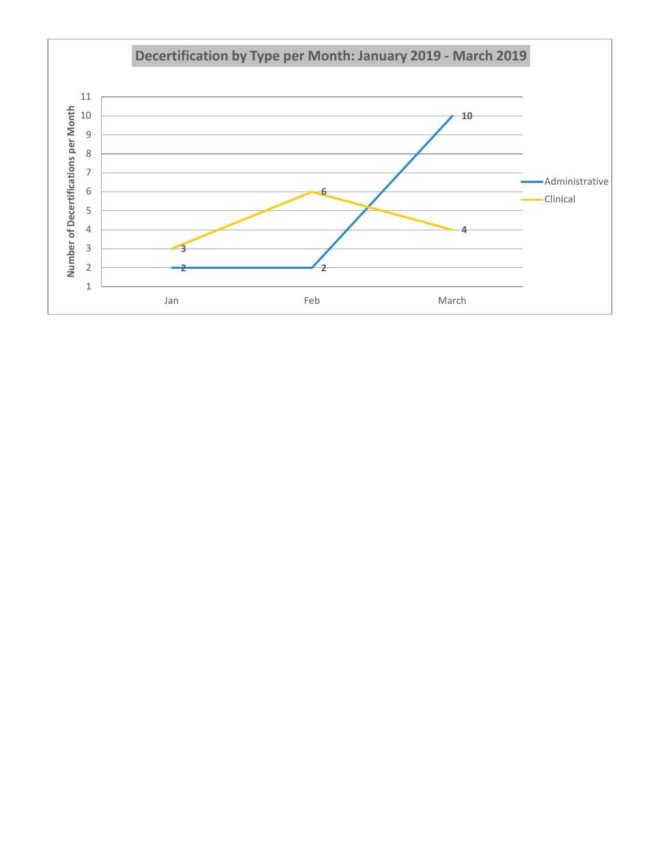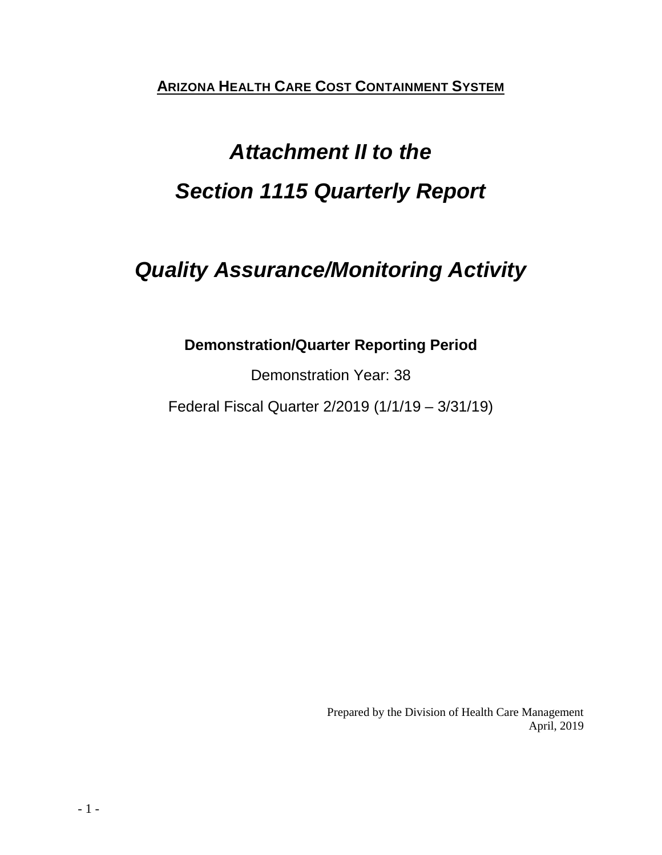**ARIZONA HEALTH CARE COST CONTAINMENT SYSTEM**

# *Attachment II to the Section 1115 Quarterly Report*

# *Quality Assurance/Monitoring Activity*

# **Demonstration/Quarter Reporting Period**

Demonstration Year: 38

Federal Fiscal Quarter 2/2019 (1/1/19 – 3/31/19)

Prepared by the Division of Health Care Management April, 2019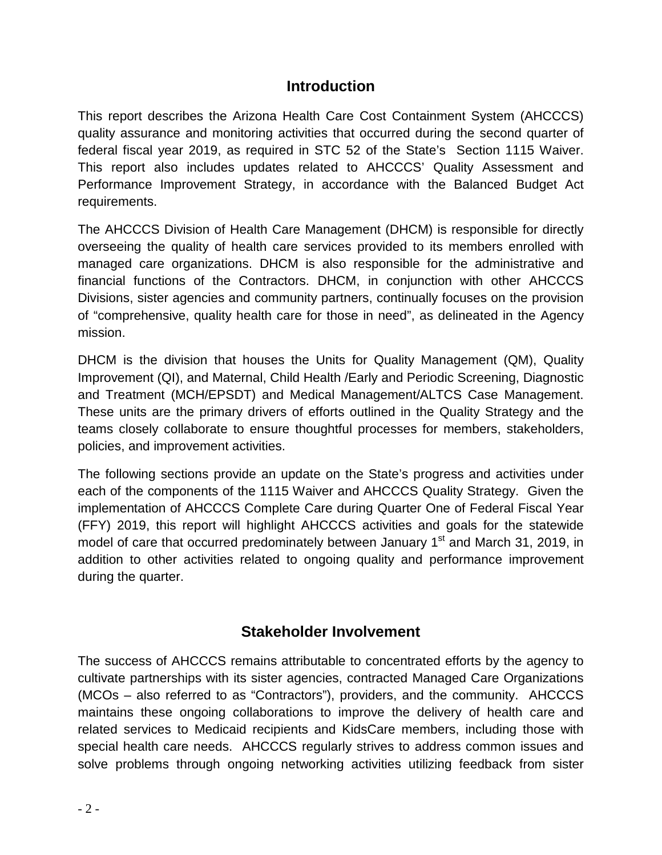# **Introduction**

This report describes the Arizona Health Care Cost Containment System (AHCCCS) quality assurance and monitoring activities that occurred during the second quarter of federal fiscal year 2019, as required in STC 52 of the State's Section 1115 Waiver. This report also includes updates related to AHCCCS' Quality Assessment and Performance Improvement Strategy, in accordance with the Balanced Budget Act requirements.

The AHCCCS Division of Health Care Management (DHCM) is responsible for directly overseeing the quality of health care services provided to its members enrolled with managed care organizations. DHCM is also responsible for the administrative and financial functions of the Contractors. DHCM, in conjunction with other AHCCCS Divisions, sister agencies and community partners, continually focuses on the provision of "comprehensive, quality health care for those in need", as delineated in the Agency mission.

DHCM is the division that houses the Units for Quality Management (QM), Quality Improvement (QI), and Maternal, Child Health /Early and Periodic Screening, Diagnostic and Treatment (MCH/EPSDT) and Medical Management/ALTCS Case Management. These units are the primary drivers of efforts outlined in the Quality Strategy and the teams closely collaborate to ensure thoughtful processes for members, stakeholders, policies, and improvement activities.

The following sections provide an update on the State's progress and activities under each of the components of the 1115 Waiver and AHCCCS Quality Strategy. Given the implementation of AHCCCS Complete Care during Quarter One of Federal Fiscal Year (FFY) 2019, this report will highlight AHCCCS activities and goals for the statewide model of care that occurred predominately between January 1<sup>st</sup> and March 31, 2019, in addition to other activities related to ongoing quality and performance improvement during the quarter.

# **Stakeholder Involvement**

The success of AHCCCS remains attributable to concentrated efforts by the agency to cultivate partnerships with its sister agencies, contracted Managed Care Organizations (MCOs – also referred to as "Contractors"), providers, and the community. AHCCCS maintains these ongoing collaborations to improve the delivery of health care and related services to Medicaid recipients and KidsCare members, including those with special health care needs. AHCCCS regularly strives to address common issues and solve problems through ongoing networking activities utilizing feedback from sister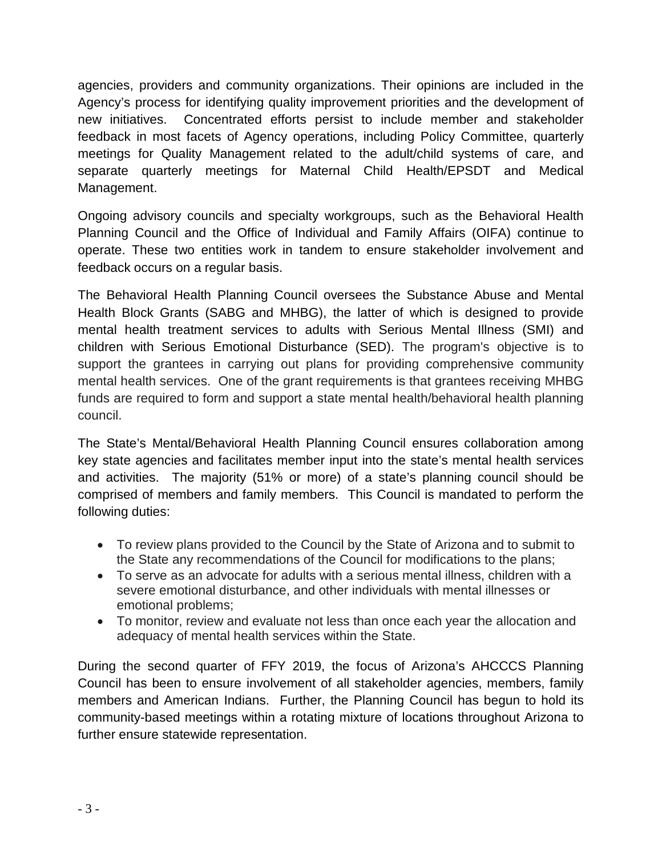agencies, providers and community organizations. Their opinions are included in the Agency's process for identifying quality improvement priorities and the development of new initiatives. Concentrated efforts persist to include member and stakeholder feedback in most facets of Agency operations, including Policy Committee, quarterly meetings for Quality Management related to the adult/child systems of care, and separate quarterly meetings for Maternal Child Health/EPSDT and Medical Management.

Ongoing advisory councils and specialty workgroups, such as the Behavioral Health Planning Council and the Office of Individual and Family Affairs (OIFA) continue to operate. These two entities work in tandem to ensure stakeholder involvement and feedback occurs on a regular basis.

The Behavioral Health Planning Council oversees the Substance Abuse and Mental Health Block Grants (SABG and MHBG), the latter of which is designed to provide mental health treatment services to adults with Serious Mental Illness (SMI) and children with Serious Emotional Disturbance (SED). The program's objective is to support the grantees in carrying out plans for providing comprehensive community mental health services. One of the grant requirements is that grantees receiving MHBG funds are required to form and support a state mental health/behavioral health planning council.

The State's Mental/Behavioral Health Planning Council ensures collaboration among key state agencies and facilitates member input into the state's mental health services and activities. The majority (51% or more) of a state's planning council should be comprised of members and family members. This Council is mandated to perform the following duties:

- To review plans provided to the Council by the State of Arizona and to submit to the State any recommendations of the Council for modifications to the plans;
- To serve as an advocate for adults with a serious mental illness, children with a severe emotional disturbance, and other individuals with mental illnesses or emotional problems;
- To monitor, review and evaluate not less than once each year the allocation and adequacy of mental health services within the State.

During the second quarter of FFY 2019, the focus of Arizona's AHCCCS Planning Council has been to ensure involvement of all stakeholder agencies, members, family members and American Indians. Further, the Planning Council has begun to hold its community-based meetings within a rotating mixture of locations throughout Arizona to further ensure statewide representation.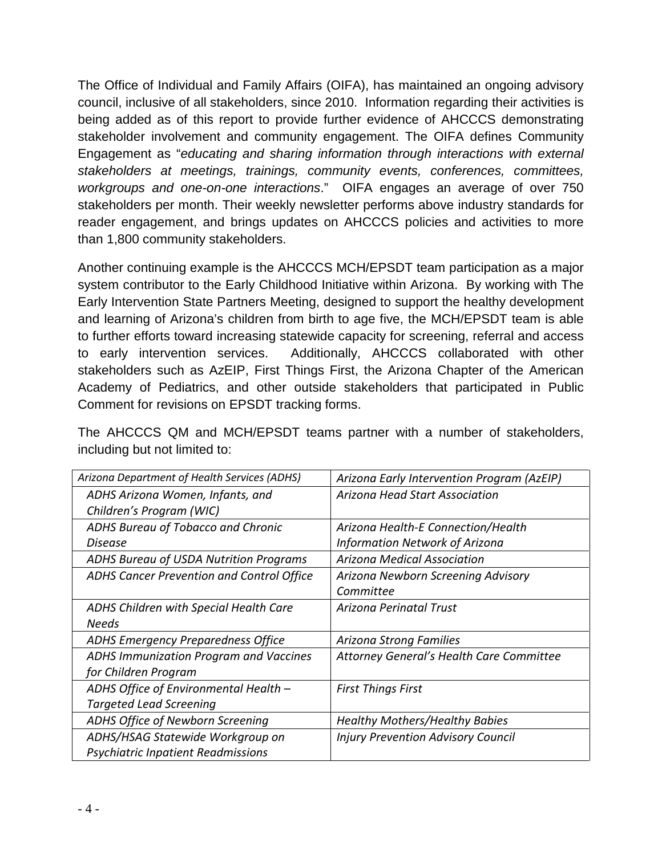The Office of Individual and Family Affairs (OIFA), has maintained an ongoing advisory council, inclusive of all stakeholders, since 2010. Information regarding their activities is being added as of this report to provide further evidence of AHCCCS demonstrating stakeholder involvement and community engagement. The OIFA defines Community Engagement as "*educating and sharing information through interactions with external stakeholders at meetings, trainings, community events, conferences, committees, workgroups and one-on-one interactions*." OIFA engages an average of over 750 stakeholders per month. Their weekly newsletter performs above industry standards for reader engagement, and brings updates on AHCCCS policies and activities to more than 1,800 community stakeholders.

Another continuing example is the AHCCCS MCH/EPSDT team participation as a major system contributor to the Early Childhood Initiative within Arizona. By working with The Early Intervention State Partners Meeting, designed to support the healthy development and learning of Arizona's children from birth to age five, the MCH/EPSDT team is able to further efforts toward increasing statewide capacity for screening, referral and access to early intervention services. Additionally, AHCCCS collaborated with other stakeholders such as AzEIP, First Things First, the Arizona Chapter of the American Academy of Pediatrics, and other outside stakeholders that participated in Public Comment for revisions on EPSDT tracking forms.

The AHCCCS QM and MCH/EPSDT teams partner with a number of stakeholders, including but not limited to:

| Arizona Department of Health Services (ADHS) | Arizona Early Intervention Program (AzEIP) |
|----------------------------------------------|--------------------------------------------|
| ADHS Arizona Women, Infants, and             | <b>Arizona Head Start Association</b>      |
| Children's Program (WIC)                     |                                            |
| ADHS Bureau of Tobacco and Chronic           | Arizona Health-E Connection/Health         |
| Disease                                      | <b>Information Network of Arizona</b>      |
| ADHS Bureau of USDA Nutrition Programs       | <b>Arizona Medical Association</b>         |
| ADHS Cancer Prevention and Control Office    | Arizona Newborn Screening Advisory         |
|                                              | Committee                                  |
| ADHS Children with Special Health Care       | Arizona Perinatal Trust                    |
| <b>Needs</b>                                 |                                            |
| <b>ADHS Emergency Preparedness Office</b>    | Arizona Strong Families                    |
| ADHS Immunization Program and Vaccines       | Attorney General's Health Care Committee   |
| for Children Program                         |                                            |
| ADHS Office of Environmental Health -        | <b>First Things First</b>                  |
| <b>Targeted Lead Screening</b>               |                                            |
| ADHS Office of Newborn Screening             | <b>Healthy Mothers/Healthy Babies</b>      |
| ADHS/HSAG Statewide Workgroup on             | <b>Injury Prevention Advisory Council</b>  |
| <b>Psychiatric Inpatient Readmissions</b>    |                                            |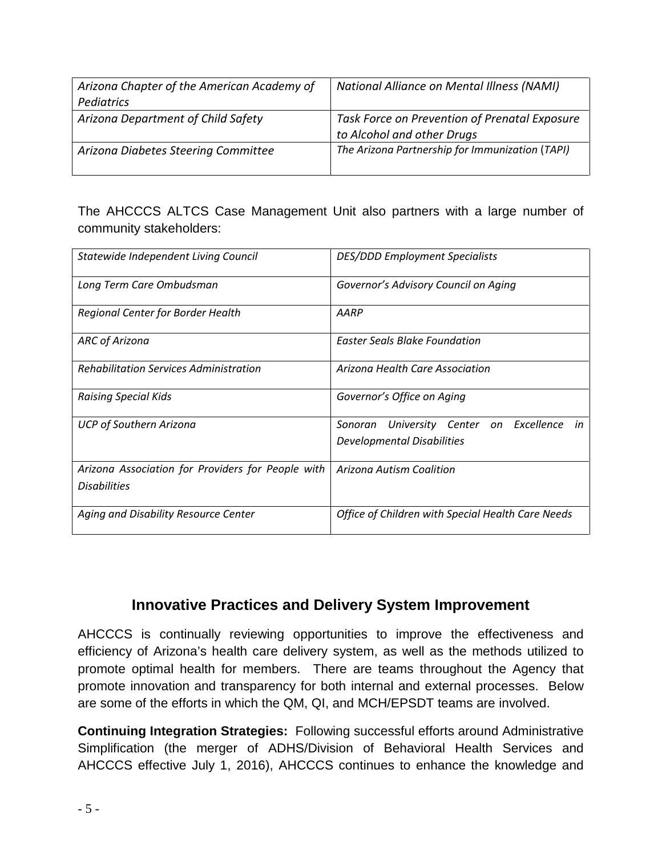| Arizona Chapter of the American Academy of | National Alliance on Mental Illness (NAMI)                                  |
|--------------------------------------------|-----------------------------------------------------------------------------|
| Pediatrics                                 |                                                                             |
| Arizona Department of Child Safety         | Task Force on Prevention of Prenatal Exposure<br>to Alcohol and other Drugs |
| Arizona Diabetes Steering Committee        | The Arizona Partnership for Immunization (TAPI)                             |

The AHCCCS ALTCS Case Management Unit also partners with a large number of community stakeholders:

| Statewide Independent Living Council                                     | <b>DES/DDD Employment Specialists</b>                                       |
|--------------------------------------------------------------------------|-----------------------------------------------------------------------------|
| Long Term Care Ombudsman                                                 | Governor's Advisory Council on Aging                                        |
| Regional Center for Border Health                                        | AARP                                                                        |
| <b>ARC of Arizona</b>                                                    | <b>Easter Seals Blake Foundation</b>                                        |
| <b>Rehabilitation Services Administration</b>                            | Arizona Health Care Association                                             |
| <b>Raising Special Kids</b>                                              | Governor's Office on Aging                                                  |
| <b>UCP of Southern Arizona</b>                                           | University Center on Excellence in<br>Sonoran<br>Developmental Disabilities |
| Arizona Association for Providers for People with<br><b>Disabilities</b> | Arizona Autism Coalition                                                    |
| Aging and Disability Resource Center                                     | Office of Children with Special Health Care Needs                           |

# **Innovative Practices and Delivery System Improvement**

AHCCCS is continually reviewing opportunities to improve the effectiveness and efficiency of Arizona's health care delivery system, as well as the methods utilized to promote optimal health for members. There are teams throughout the Agency that promote innovation and transparency for both internal and external processes. Below are some of the efforts in which the QM, QI, and MCH/EPSDT teams are involved.

**Continuing Integration Strategies:**Following successful efforts around Administrative Simplification (the merger of ADHS/Division of Behavioral Health Services and AHCCCS effective July 1, 2016), AHCCCS continues to enhance the knowledge and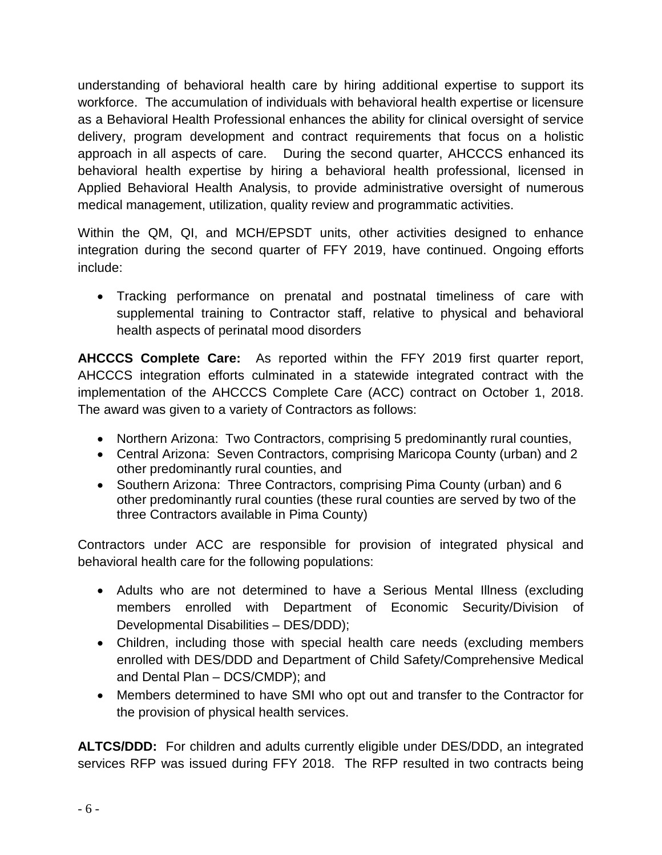understanding of behavioral health care by hiring additional expertise to support its workforce. The accumulation of individuals with behavioral health expertise or licensure as a Behavioral Health Professional enhances the ability for clinical oversight of service delivery, program development and contract requirements that focus on a holistic approach in all aspects of care. During the second quarter, AHCCCS enhanced its behavioral health expertise by hiring a behavioral health professional, licensed in Applied Behavioral Health Analysis, to provide administrative oversight of numerous medical management, utilization, quality review and programmatic activities.

Within the QM, QI, and MCH/EPSDT units, other activities designed to enhance integration during the second quarter of FFY 2019, have continued. Ongoing efforts include:

• Tracking performance on prenatal and postnatal timeliness of care with supplemental training to Contractor staff, relative to physical and behavioral health aspects of perinatal mood disorders

**AHCCCS Complete Care:**As reported within the FFY 2019 first quarter report, AHCCCS integration efforts culminated in a statewide integrated contract with the implementation of the AHCCCS Complete Care (ACC) contract on October 1, 2018. The award was given to a variety of Contractors as follows:

- Northern Arizona: Two Contractors, comprising 5 predominantly rural counties,
- Central Arizona: Seven Contractors, comprising Maricopa County (urban) and 2 other predominantly rural counties, and
- Southern Arizona: Three Contractors, comprising Pima County (urban) and 6 other predominantly rural counties (these rural counties are served by two of the three Contractors available in Pima County)

Contractors under ACC are responsible for provision of integrated physical and behavioral health care for the following populations:

- Adults who are not determined to have a Serious Mental Illness (excluding members enrolled with Department of Economic Security/Division of Developmental Disabilities – DES/DDD);
- Children, including those with special health care needs (excluding members enrolled with DES/DDD and Department of Child Safety/Comprehensive Medical and Dental Plan – DCS/CMDP); and
- Members determined to have SMI who opt out and transfer to the Contractor for the provision of physical health services.

**ALTCS/DDD:** For children and adults currently eligible under DES/DDD, an integrated services RFP was issued during FFY 2018. The RFP resulted in two contracts being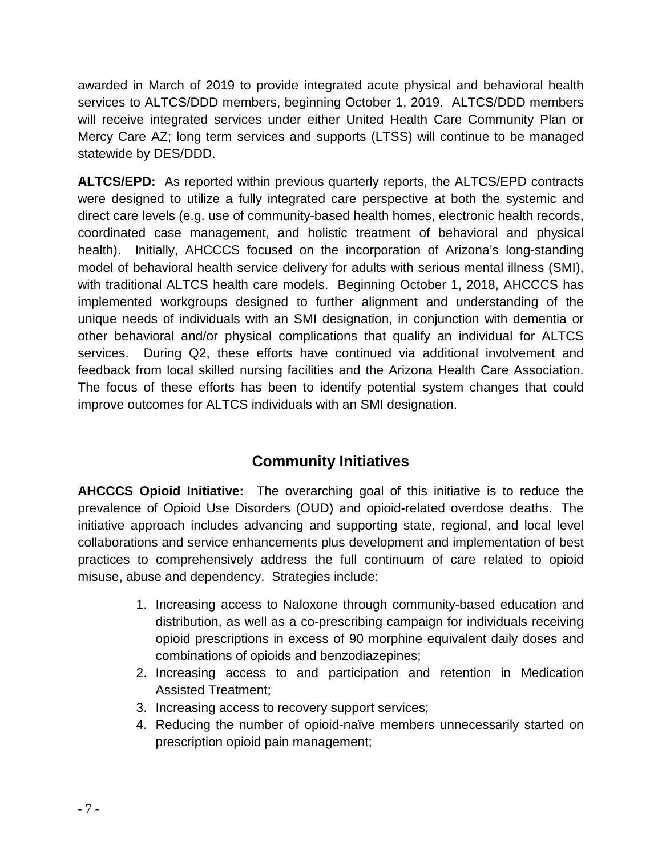awarded in March of 2019 to provide integrated acute physical and behavioral health services to ALTCS/DDD members, beginning October 1, 2019. ALTCS/DDD members will receive integrated services under either United Health Care Community Plan or Mercy Care AZ; long term services and supports (LTSS) will continue to be managed statewide by DES/DDD.

**ALTCS/EPD:**As reported within previous quarterly reports, the ALTCS/EPD contracts were designed to utilize a fully integrated care perspective at both the systemic and direct care levels (e.g. use of community-based health homes, electronic health records, coordinated case management, and holistic treatment of behavioral and physical health). Initially, AHCCCS focused on the incorporation of Arizona's long-standing model of behavioral health service delivery for adults with serious mental illness (SMI), with traditional ALTCS health care models. Beginning October 1, 2018, AHCCCS has implemented workgroups designed to further alignment and understanding of the unique needs of individuals with an SMI designation, in conjunction with dementia or other behavioral and/or physical complications that qualify an individual for ALTCS services. During Q2, these efforts have continued via additional involvement and feedback from local skilled nursing facilities and the Arizona Health Care Association. The focus of these efforts has been to identify potential system changes that could improve outcomes for ALTCS individuals with an SMI designation.

# **Community Initiatives**

**AHCCCS Opioid Initiative:** The overarching goal of this initiative is to reduce the prevalence of Opioid Use Disorders (OUD) and opioid-related overdose deaths. The initiative approach includes advancing and supporting state, regional, and local level collaborations and service enhancements plus development and implementation of best practices to comprehensively address the full continuum of care related to opioid misuse, abuse and dependency. Strategies include:

- 1. Increasing access to Naloxone through community-based education and distribution, as well as a co-prescribing campaign for individuals receiving opioid prescriptions in excess of 90 morphine equivalent daily doses and combinations of opioids and benzodiazepines;
- 2. Increasing access to and participation and retention in Medication Assisted Treatment;
- 3. Increasing access to recovery support services;
- 4. Reducing the number of opioid-naïve members unnecessarily started on prescription opioid pain management;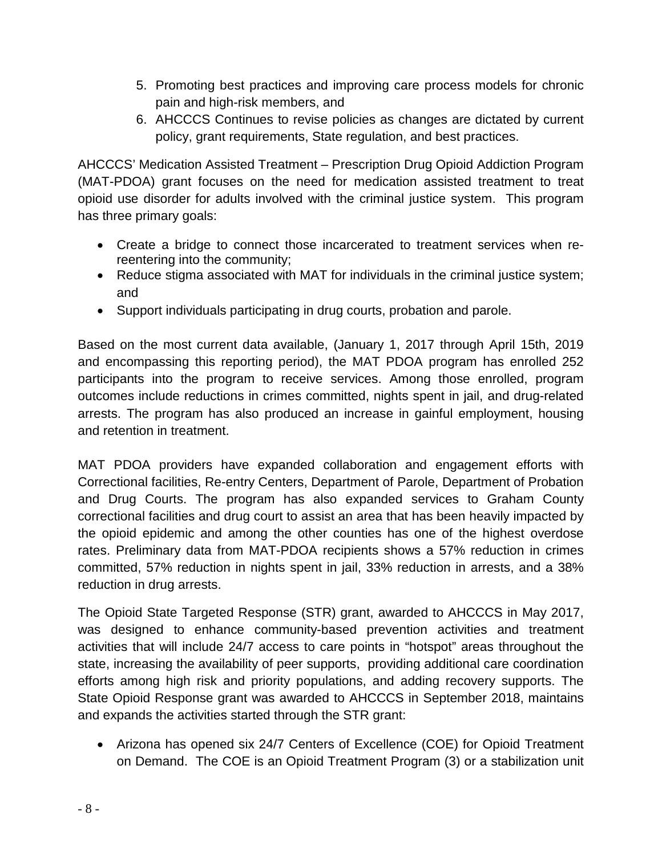- 5. Promoting best practices and improving care process models for chronic pain and high-risk members, and
- 6. AHCCCS Continues to revise policies as changes are dictated by current policy, grant requirements, State regulation, and best practices.

AHCCCS' Medication Assisted Treatment – Prescription Drug Opioid Addiction Program (MAT-PDOA) grant focuses on the need for medication assisted treatment to treat opioid use disorder for adults involved with the criminal justice system. This program has three primary goals:

- Create a bridge to connect those incarcerated to treatment services when rereentering into the community;
- Reduce stigma associated with MAT for individuals in the criminal justice system; and
- Support individuals participating in drug courts, probation and parole.

Based on the most current data available, (January 1, 2017 through April 15th, 2019 and encompassing this reporting period), the MAT PDOA program has enrolled 252 participants into the program to receive services. Among those enrolled, program outcomes include reductions in crimes committed, nights spent in jail, and drug-related arrests. The program has also produced an increase in gainful employment, housing and retention in treatment.

MAT PDOA providers have expanded collaboration and engagement efforts with Correctional facilities, Re-entry Centers, Department of Parole, Department of Probation and Drug Courts. The program has also expanded services to Graham County correctional facilities and drug court to assist an area that has been heavily impacted by the opioid epidemic and among the other counties has one of the highest overdose rates. Preliminary data from MAT-PDOA recipients shows a 57% reduction in crimes committed, 57% reduction in nights spent in jail, 33% reduction in arrests, and a 38% reduction in drug arrests.

The Opioid State Targeted Response (STR) grant, awarded to AHCCCS in May 2017, was designed to enhance community-based prevention activities and treatment activities that will include 24/7 access to care points in "hotspot" areas throughout the state, increasing the availability of peer supports, providing additional care coordination efforts among high risk and priority populations, and adding recovery supports. The State Opioid Response grant was awarded to AHCCCS in September 2018, maintains and expands the activities started through the STR grant:

• Arizona has opened six 24/7 Centers of Excellence (COE) for Opioid Treatment on Demand. The COE is an Opioid Treatment Program (3) or a stabilization unit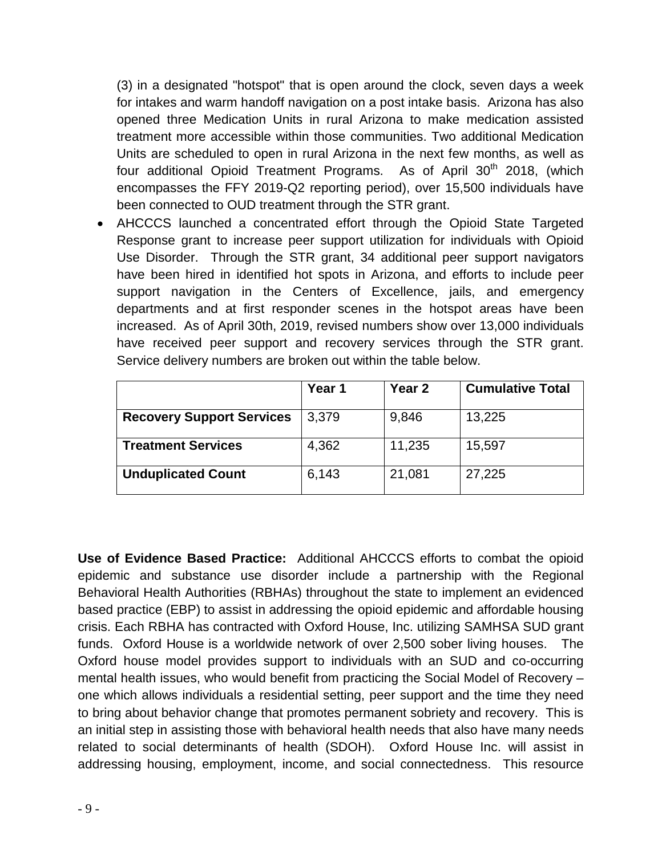(3) in a designated "hotspot" that is open around the clock, seven days a week for intakes and warm handoff navigation on a post intake basis. Arizona has also opened three Medication Units in rural Arizona to make medication assisted treatment more accessible within those communities. Two additional Medication Units are scheduled to open in rural Arizona in the next few months, as well as four additional Opioid Treatment Programs. As of April 30<sup>th</sup> 2018, (which encompasses the FFY 2019-Q2 reporting period), over 15,500 individuals have been connected to OUD treatment through the STR grant.

• AHCCCS launched a concentrated effort through the Opioid State Targeted Response grant to increase peer support utilization for individuals with Opioid Use Disorder. Through the STR grant, 34 additional peer support navigators have been hired in identified hot spots in Arizona, and efforts to include peer support navigation in the Centers of Excellence, jails, and emergency departments and at first responder scenes in the hotspot areas have been increased. As of April 30th, 2019, revised numbers show over 13,000 individuals have received peer support and recovery services through the STR grant. Service delivery numbers are broken out within the table below.

|                                  | Year 1 | <b>Year 2</b> | <b>Cumulative Total</b> |
|----------------------------------|--------|---------------|-------------------------|
| <b>Recovery Support Services</b> | 3,379  | 9,846         | 13,225                  |
| <b>Treatment Services</b>        | 4,362  | 11,235        | 15,597                  |
| <b>Unduplicated Count</b>        | 6,143  | 21,081        | 27,225                  |

**Use of Evidence Based Practice:** Additional AHCCCS efforts to combat the opioid epidemic and substance use disorder include a partnership with the Regional Behavioral Health Authorities (RBHAs) throughout the state to implement an evidenced based practice (EBP) to assist in addressing the opioid epidemic and affordable housing crisis. Each RBHA has contracted with Oxford House, Inc. utilizing SAMHSA SUD grant funds. Oxford House is a worldwide network of over 2,500 sober living houses. The Oxford house model provides support to individuals with an SUD and co-occurring mental health issues, who would benefit from practicing the Social Model of Recovery – one which allows individuals a residential setting, peer support and the time they need to bring about behavior change that promotes permanent sobriety and recovery. This is an initial step in assisting those with behavioral health needs that also have many needs related to social determinants of health (SDOH). Oxford House Inc. will assist in addressing housing, employment, income, and social connectedness. This resource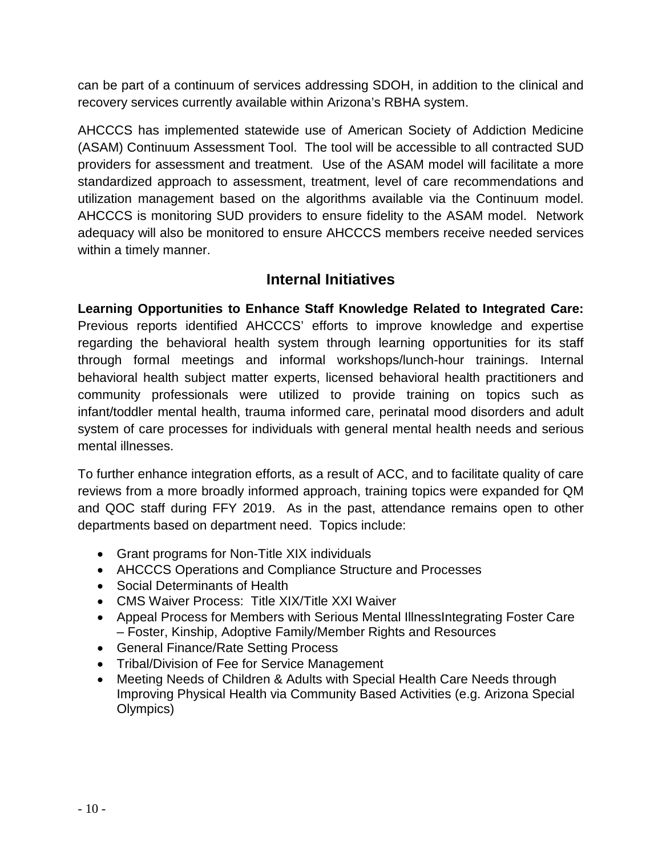can be part of a continuum of services addressing SDOH, in addition to the clinical and recovery services currently available within Arizona's RBHA system.

AHCCCS has implemented statewide use of American Society of Addiction Medicine (ASAM) Continuum Assessment Tool. The tool will be accessible to all contracted SUD providers for assessment and treatment. Use of the ASAM model will facilitate a more standardized approach to assessment, treatment, level of care recommendations and utilization management based on the algorithms available via the Continuum model. AHCCCS is monitoring SUD providers to ensure fidelity to the ASAM model. Network adequacy will also be monitored to ensure AHCCCS members receive needed services within a timely manner.

# **Internal Initiatives**

**Learning Opportunities to Enhance Staff Knowledge Related to Integrated Care:**  Previous reports identified AHCCCS' efforts to improve knowledge and expertise regarding the behavioral health system through learning opportunities for its staff through formal meetings and informal workshops/lunch-hour trainings. Internal behavioral health subject matter experts, licensed behavioral health practitioners and community professionals were utilized to provide training on topics such as infant/toddler mental health, trauma informed care, perinatal mood disorders and adult system of care processes for individuals with general mental health needs and serious mental illnesses.

To further enhance integration efforts, as a result of ACC, and to facilitate quality of care reviews from a more broadly informed approach, training topics were expanded for QM and QOC staff during FFY 2019. As in the past, attendance remains open to other departments based on department need. Topics include:

- Grant programs for Non-Title XIX individuals
- AHCCCS Operations and Compliance Structure and Processes
- Social Determinants of Health
- CMS Waiver Process: Title XIX/Title XXI Waiver
- Appeal Process for Members with Serious Mental IllnessIntegrating Foster Care – Foster, Kinship, Adoptive Family/Member Rights and Resources
- General Finance/Rate Setting Process
- Tribal/Division of Fee for Service Management
- Meeting Needs of Children & Adults with Special Health Care Needs through Improving Physical Health via Community Based Activities (e.g. Arizona Special Olympics)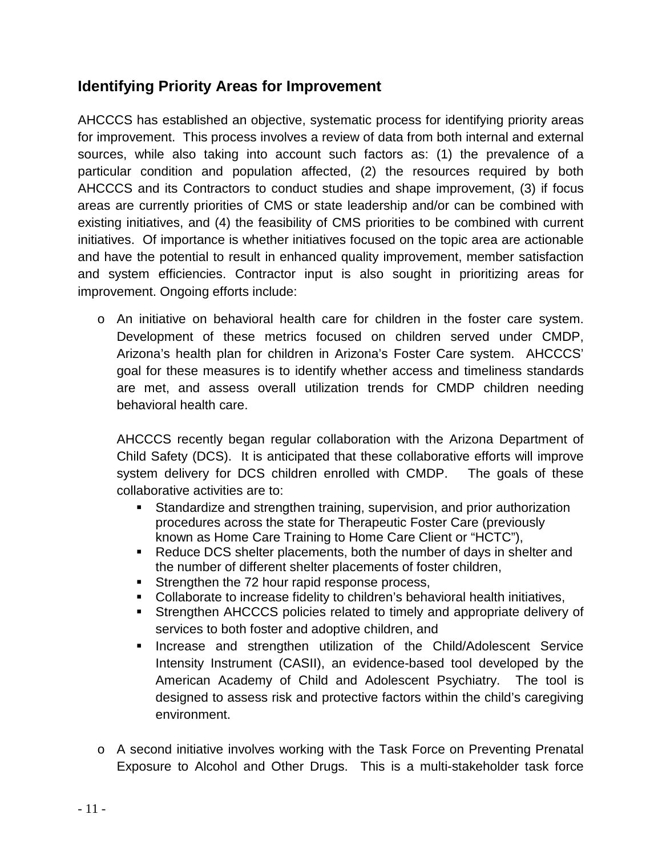# **Identifying Priority Areas for Improvement**

AHCCCS has established an objective, systematic process for identifying priority areas for improvement. This process involves a review of data from both internal and external sources, while also taking into account such factors as: (1) the prevalence of a particular condition and population affected, (2) the resources required by both AHCCCS and its Contractors to conduct studies and shape improvement, (3) if focus areas are currently priorities of CMS or state leadership and/or can be combined with existing initiatives, and (4) the feasibility of CMS priorities to be combined with current initiatives. Of importance is whether initiatives focused on the topic area are actionable and have the potential to result in enhanced quality improvement, member satisfaction and system efficiencies. Contractor input is also sought in prioritizing areas for improvement. Ongoing efforts include:

o An initiative on behavioral health care for children in the foster care system. Development of these metrics focused on children served under CMDP, Arizona's health plan for children in Arizona's Foster Care system. AHCCCS' goal for these measures is to identify whether access and timeliness standards are met, and assess overall utilization trends for CMDP children needing behavioral health care.

AHCCCS recently began regular collaboration with the Arizona Department of Child Safety (DCS). It is anticipated that these collaborative efforts will improve system delivery for DCS children enrolled with CMDP. The goals of these collaborative activities are to:

- Standardize and strengthen training, supervision, and prior authorization procedures across the state for Therapeutic Foster Care (previously known as Home Care Training to Home Care Client or "HCTC"),
- Reduce DCS shelter placements, both the number of days in shelter and the number of different shelter placements of foster children,
- Strengthen the 72 hour rapid response process,
- Collaborate to increase fidelity to children's behavioral health initiatives,
- Strengthen AHCCCS policies related to timely and appropriate delivery of services to both foster and adoptive children, and
- **Increase and strengthen utilization of the Child/Adolescent Service** Intensity Instrument (CASII), an evidence-based tool developed by the American Academy of Child and Adolescent Psychiatry. The tool is designed to assess risk and protective factors within the child's caregiving environment.
- o A second initiative involves working with the Task Force on Preventing Prenatal Exposure to Alcohol and Other Drugs. This is a multi-stakeholder task force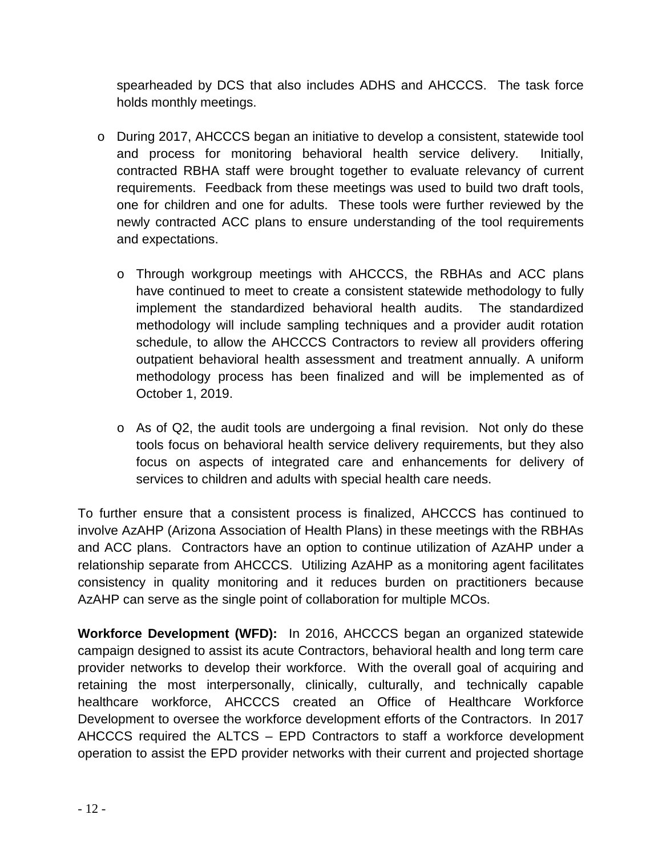spearheaded by DCS that also includes ADHS and AHCCCS. The task force holds monthly meetings.

- o During 2017, AHCCCS began an initiative to develop a consistent, statewide tool and process for monitoring behavioral health service delivery. Initially, contracted RBHA staff were brought together to evaluate relevancy of current requirements. Feedback from these meetings was used to build two draft tools, one for children and one for adults. These tools were further reviewed by the newly contracted ACC plans to ensure understanding of the tool requirements and expectations.
	- o Through workgroup meetings with AHCCCS, the RBHAs and ACC plans have continued to meet to create a consistent statewide methodology to fully implement the standardized behavioral health audits. The standardized methodology will include sampling techniques and a provider audit rotation schedule, to allow the AHCCCS Contractors to review all providers offering outpatient behavioral health assessment and treatment annually. A uniform methodology process has been finalized and will be implemented as of October 1, 2019.
	- o As of Q2, the audit tools are undergoing a final revision. Not only do these tools focus on behavioral health service delivery requirements, but they also focus on aspects of integrated care and enhancements for delivery of services to children and adults with special health care needs.

To further ensure that a consistent process is finalized, AHCCCS has continued to involve AzAHP (Arizona Association of Health Plans) in these meetings with the RBHAs and ACC plans. Contractors have an option to continue utilization of AzAHP under a relationship separate from AHCCCS. Utilizing AzAHP as a monitoring agent facilitates consistency in quality monitoring and it reduces burden on practitioners because AzAHP can serve as the single point of collaboration for multiple MCOs.

**Workforce Development (WFD):** In 2016, AHCCCS began an organized statewide campaign designed to assist its acute Contractors, behavioral health and long term care provider networks to develop their workforce. With the overall goal of acquiring and retaining the most interpersonally, clinically, culturally, and technically capable healthcare workforce, AHCCCS created an Office of Healthcare Workforce Development to oversee the workforce development efforts of the Contractors. In 2017 AHCCCS required the ALTCS – EPD Contractors to staff a workforce development operation to assist the EPD provider networks with their current and projected shortage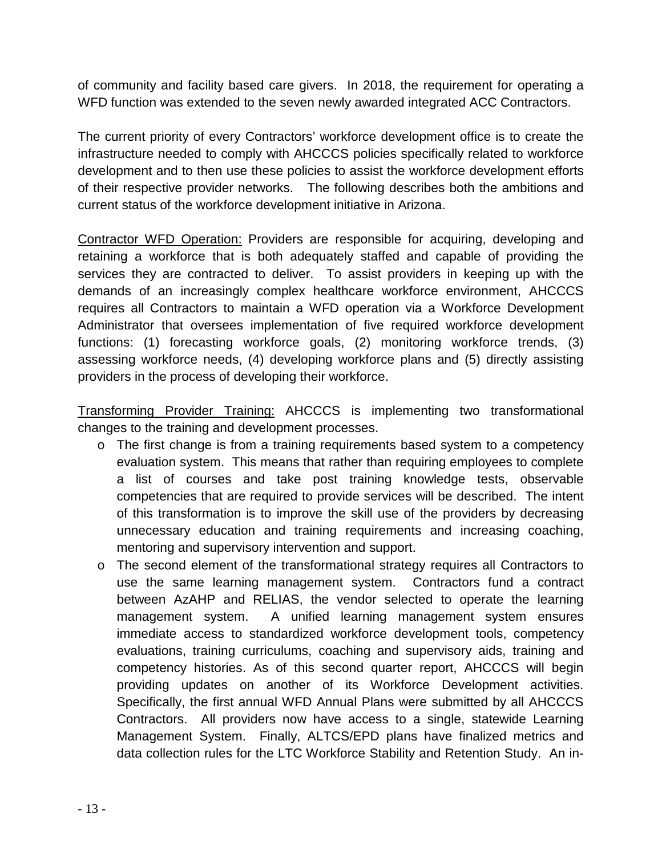of community and facility based care givers. In 2018, the requirement for operating a WFD function was extended to the seven newly awarded integrated ACC Contractors.

The current priority of every Contractors' workforce development office is to create the infrastructure needed to comply with AHCCCS policies specifically related to workforce development and to then use these policies to assist the workforce development efforts of their respective provider networks. The following describes both the ambitions and current status of the workforce development initiative in Arizona.

Contractor WFD Operation: Providers are responsible for acquiring, developing and retaining a workforce that is both adequately staffed and capable of providing the services they are contracted to deliver. To assist providers in keeping up with the demands of an increasingly complex healthcare workforce environment, AHCCCS requires all Contractors to maintain a WFD operation via a Workforce Development Administrator that oversees implementation of five required workforce development functions: (1) forecasting workforce goals, (2) monitoring workforce trends, (3) assessing workforce needs, (4) developing workforce plans and (5) directly assisting providers in the process of developing their workforce.

Transforming Provider Training: AHCCCS is implementing two transformational changes to the training and development processes.

- o The first change is from a training requirements based system to a competency evaluation system. This means that rather than requiring employees to complete a list of courses and take post training knowledge tests, observable competencies that are required to provide services will be described. The intent of this transformation is to improve the skill use of the providers by decreasing unnecessary education and training requirements and increasing coaching, mentoring and supervisory intervention and support.
- o The second element of the transformational strategy requires all Contractors to use the same learning management system. Contractors fund a contract between AzAHP and RELIAS, the vendor selected to operate the learning management system. A unified learning management system ensures immediate access to standardized workforce development tools, competency evaluations, training curriculums, coaching and supervisory aids, training and competency histories. As of this second quarter report, AHCCCS will begin providing updates on another of its Workforce Development activities. Specifically, the first annual WFD Annual Plans were submitted by all AHCCCS Contractors. All providers now have access to a single, statewide Learning Management System. Finally, ALTCS/EPD plans have finalized metrics and data collection rules for the LTC Workforce Stability and Retention Study. An in-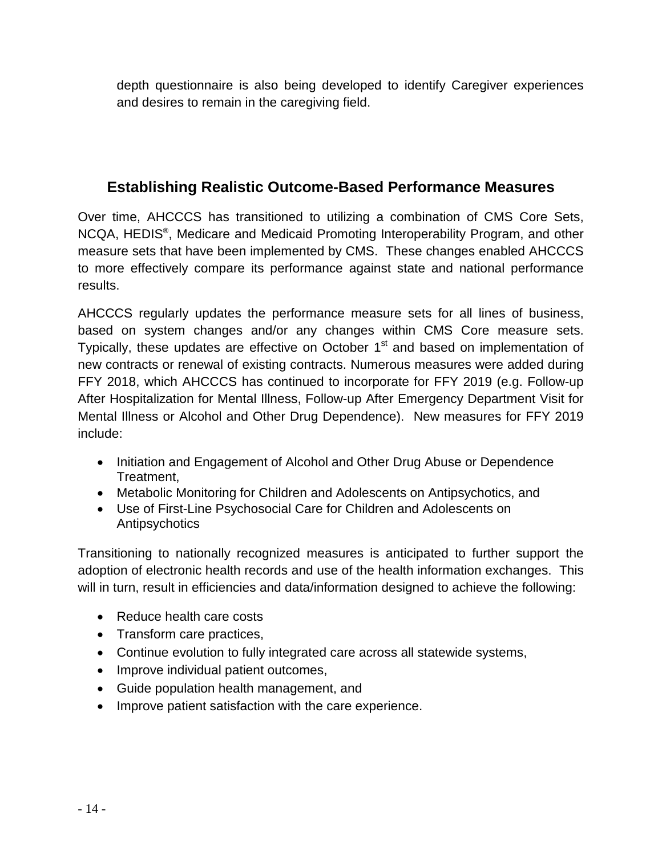depth questionnaire is also being developed to identify Caregiver experiences and desires to remain in the caregiving field.

# **Establishing Realistic Outcome-Based Performance Measures**

Over time, AHCCCS has transitioned to utilizing a combination of CMS Core Sets, NCQA, HEDIS®, Medicare and Medicaid Promoting Interoperability Program, and other measure sets that have been implemented by CMS. These changes enabled AHCCCS to more effectively compare its performance against state and national performance results.

AHCCCS regularly updates the performance measure sets for all lines of business, based on system changes and/or any changes within CMS Core measure sets. Typically, these updates are effective on October  $1<sup>st</sup>$  and based on implementation of new contracts or renewal of existing contracts. Numerous measures were added during FFY 2018, which AHCCCS has continued to incorporate for FFY 2019 (e.g. Follow-up After Hospitalization for Mental Illness, Follow-up After Emergency Department Visit for Mental Illness or Alcohol and Other Drug Dependence). New measures for FFY 2019 include:

- Initiation and Engagement of Alcohol and Other Drug Abuse or Dependence Treatment,
- Metabolic Monitoring for Children and Adolescents on Antipsychotics, and
- Use of First-Line Psychosocial Care for Children and Adolescents on Antipsychotics

Transitioning to nationally recognized measures is anticipated to further support the adoption of electronic health records and use of the health information exchanges. This will in turn, result in efficiencies and data/information designed to achieve the following:

- Reduce health care costs
- Transform care practices,
- Continue evolution to fully integrated care across all statewide systems,
- Improve individual patient outcomes,
- Guide population health management, and
- Improve patient satisfaction with the care experience.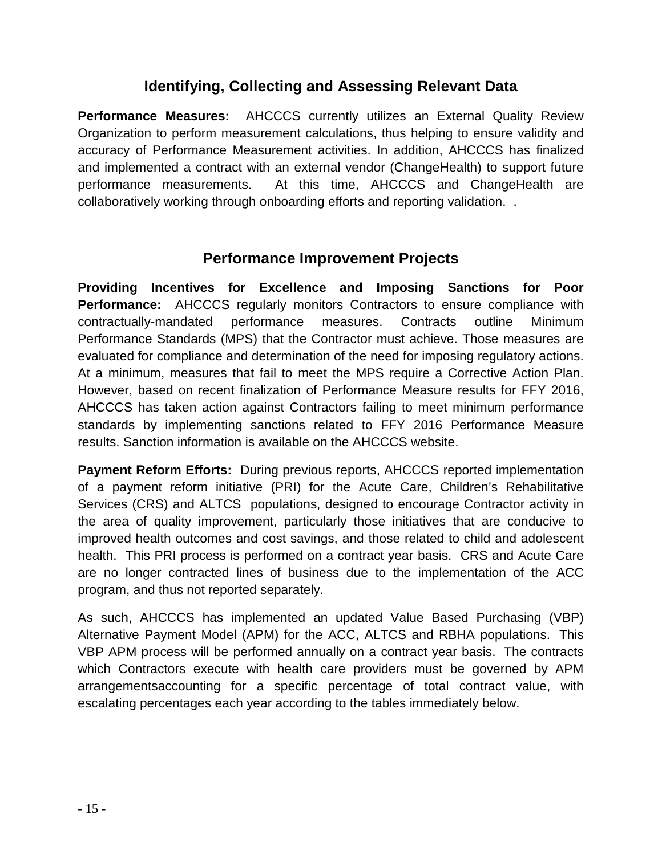# **Identifying, Collecting and Assessing Relevant Data**

**Performance Measures:** AHCCCS currently utilizes an External Quality Review Organization to perform measurement calculations, thus helping to ensure validity and accuracy of Performance Measurement activities. In addition, AHCCCS has finalized and implemented a contract with an external vendor (ChangeHealth) to support future performance measurements. At this time, AHCCCS and ChangeHealth are collaboratively working through onboarding efforts and reporting validation. .

# **Performance Improvement Projects**

**Providing Incentives for Excellence and Imposing Sanctions for Poor Performance:** AHCCCS regularly monitors Contractors to ensure compliance with contractually-mandated performance measures. Contracts outline Minimum Performance Standards (MPS) that the Contractor must achieve. Those measures are evaluated for compliance and determination of the need for imposing regulatory actions. At a minimum, measures that fail to meet the MPS require a Corrective Action Plan. However, based on recent finalization of Performance Measure results for FFY 2016, AHCCCS has taken action against Contractors failing to meet minimum performance standards by implementing sanctions related to FFY 2016 Performance Measure results. Sanction information is available on the AHCCCS website.

**Payment Reform Efforts:** During previous reports, AHCCCS reported implementation of a payment reform initiative (PRI) for the Acute Care, Children's Rehabilitative Services (CRS) and ALTCS populations, designed to encourage Contractor activity in the area of quality improvement, particularly those initiatives that are conducive to improved health outcomes and cost savings, and those related to child and adolescent health. This PRI process is performed on a contract year basis. CRS and Acute Care are no longer contracted lines of business due to the implementation of the ACC program, and thus not reported separately.

As such, AHCCCS has implemented an updated Value Based Purchasing (VBP) Alternative Payment Model (APM) for the ACC, ALTCS and RBHA populations. This VBP APM process will be performed annually on a contract year basis. The contracts which Contractors execute with health care providers must be governed by APM arrangementsaccounting for a specific percentage of total contract value, with escalating percentages each year according to the tables immediately below.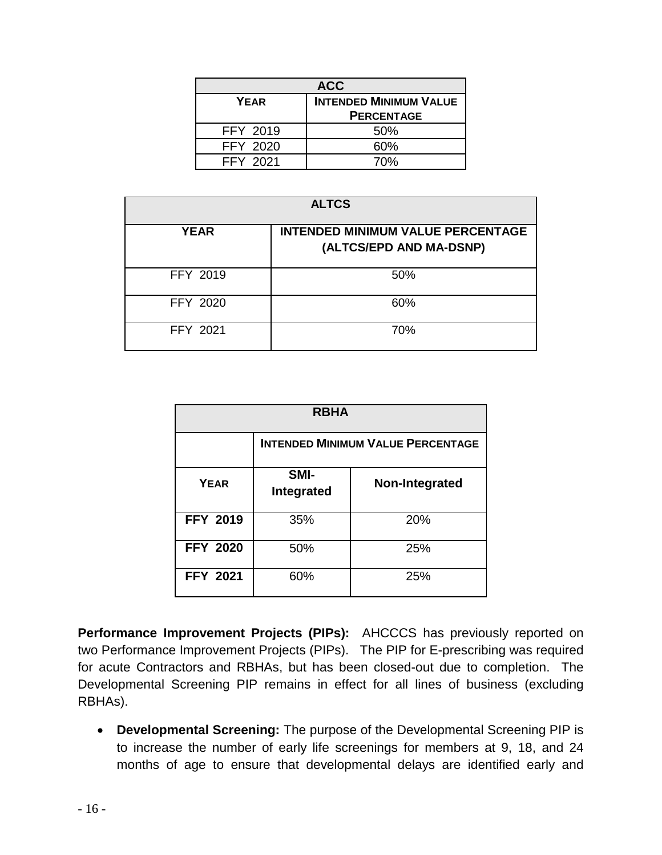| <b>ACC</b>      |                               |  |  |  |  |  |  |
|-----------------|-------------------------------|--|--|--|--|--|--|
| YEAR            | <b>INTENDED MINIMUM VALUE</b> |  |  |  |  |  |  |
|                 | <b>PERCENTAGE</b>             |  |  |  |  |  |  |
| <b>FFY 2019</b> | 50%                           |  |  |  |  |  |  |
| <b>FFY 2020</b> | 60%                           |  |  |  |  |  |  |
| <b>FFY 2021</b> | 70%                           |  |  |  |  |  |  |

| <b>ALTCS</b> |                                                                     |  |  |  |  |  |  |  |
|--------------|---------------------------------------------------------------------|--|--|--|--|--|--|--|
| <b>YEAR</b>  | <b>INTENDED MINIMUM VALUE PERCENTAGE</b><br>(ALTCS/EPD AND MA-DSNP) |  |  |  |  |  |  |  |
| FFY 2019     | 50%                                                                 |  |  |  |  |  |  |  |
| FFY 2020     | 60%                                                                 |  |  |  |  |  |  |  |
| FFY 2021     | 70%                                                                 |  |  |  |  |  |  |  |

| <b>RBHA</b>     |                                          |                |  |  |  |  |  |  |
|-----------------|------------------------------------------|----------------|--|--|--|--|--|--|
|                 | <b>INTENDED MINIMUM VALUE PERCENTAGE</b> |                |  |  |  |  |  |  |
| YEAR            | SMI-<br>Integrated                       | Non-Integrated |  |  |  |  |  |  |
| <b>FFY 2019</b> | 35%                                      | 20%            |  |  |  |  |  |  |
| <b>FFY 2020</b> | 50%                                      | 25%            |  |  |  |  |  |  |
| <b>FFY 2021</b> | 60%                                      | 25%            |  |  |  |  |  |  |

**Performance Improvement Projects (PIPs):** AHCCCS has previously reported on two Performance Improvement Projects (PIPs). The PIP for E-prescribing was required for acute Contractors and RBHAs, but has been closed-out due to completion. The Developmental Screening PIP remains in effect for all lines of business (excluding RBHAs).

• **Developmental Screening:** The purpose of the Developmental Screening PIP is to increase the number of early life screenings for members at 9, 18, and 24 months of age to ensure that developmental delays are identified early and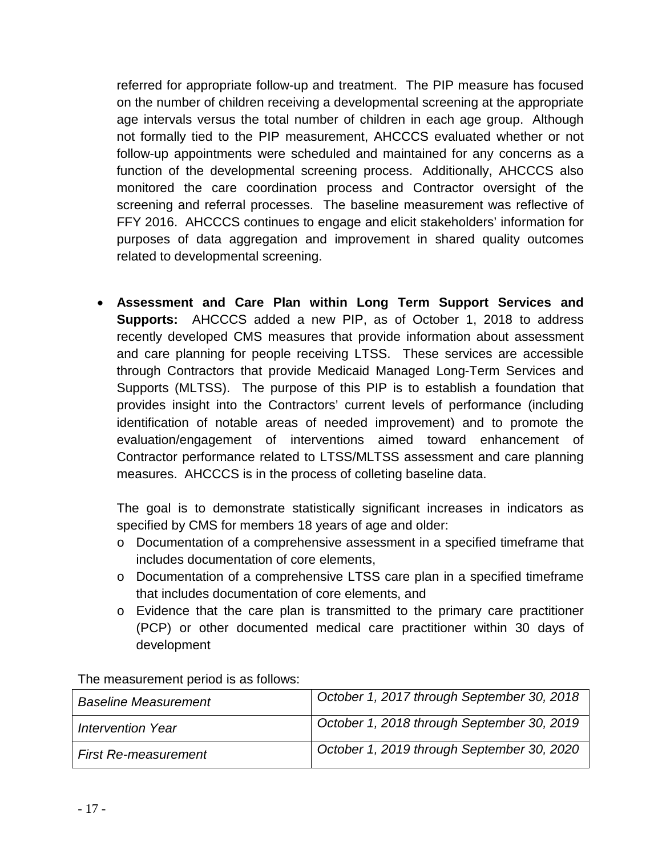referred for appropriate follow-up and treatment. The PIP measure has focused on the number of children receiving a developmental screening at the appropriate age intervals versus the total number of children in each age group. Although not formally tied to the PIP measurement, AHCCCS evaluated whether or not follow-up appointments were scheduled and maintained for any concerns as a function of the developmental screening process. Additionally, AHCCCS also monitored the care coordination process and Contractor oversight of the screening and referral processes. The baseline measurement was reflective of FFY 2016. AHCCCS continues to engage and elicit stakeholders' information for purposes of data aggregation and improvement in shared quality outcomes related to developmental screening.

• **Assessment and Care Plan within Long Term Support Services and Supports:** AHCCCS added a new PIP, as of October 1, 2018 to address recently developed CMS measures that provide information about assessment and care planning for people receiving LTSS. These services are accessible through Contractors that provide Medicaid Managed Long-Term Services and Supports (MLTSS). The purpose of this PIP is to establish a foundation that provides insight into the Contractors' current levels of performance (including identification of notable areas of needed improvement) and to promote the evaluation/engagement of interventions aimed toward enhancement of Contractor performance related to LTSS/MLTSS assessment and care planning measures. AHCCCS is in the process of colleting baseline data.

The goal is to demonstrate statistically significant increases in indicators as specified by CMS for members 18 years of age and older:

- o Documentation of a comprehensive assessment in a specified timeframe that includes documentation of core elements,
- o Documentation of a comprehensive LTSS care plan in a specified timeframe that includes documentation of core elements, and
- o Evidence that the care plan is transmitted to the primary care practitioner (PCP) or other documented medical care practitioner within 30 days of development

| <b>Baseline Measurement</b> | October 1, 2017 through September 30, 2018 |
|-----------------------------|--------------------------------------------|
| <b>Intervention Year</b>    | October 1, 2018 through September 30, 2019 |
| <b>First Re-measurement</b> | October 1, 2019 through September 30, 2020 |

The measurement period is as follows: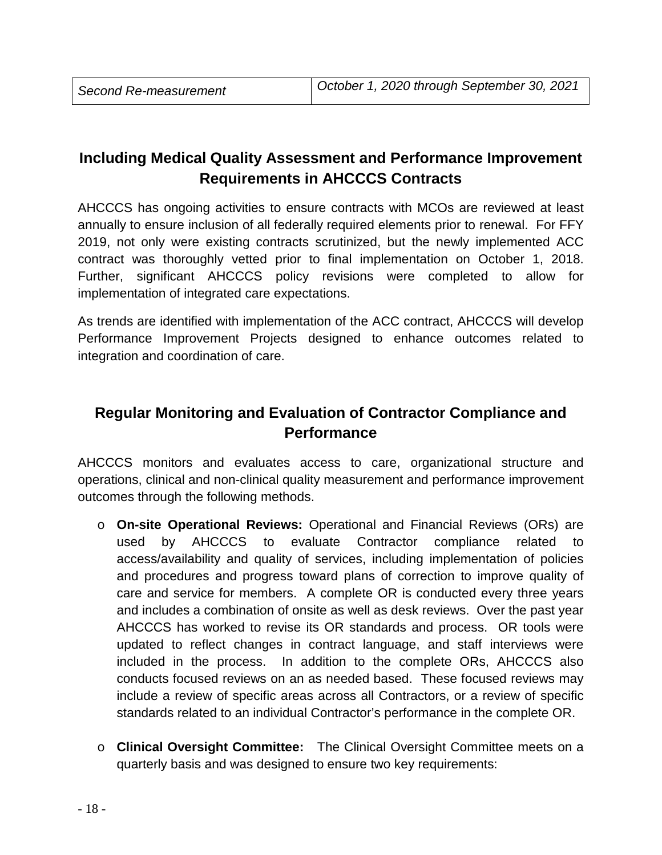# **Including Medical Quality Assessment and Performance Improvement Requirements in AHCCCS Contracts**

AHCCCS has ongoing activities to ensure contracts with MCOs are reviewed at least annually to ensure inclusion of all federally required elements prior to renewal. For FFY 2019, not only were existing contracts scrutinized, but the newly implemented ACC contract was thoroughly vetted prior to final implementation on October 1, 2018. Further, significant AHCCCS policy revisions were completed to allow for implementation of integrated care expectations.

As trends are identified with implementation of the ACC contract, AHCCCS will develop Performance Improvement Projects designed to enhance outcomes related to integration and coordination of care.

# **Regular Monitoring and Evaluation of Contractor Compliance and Performance**

AHCCCS monitors and evaluates access to care, organizational structure and operations, clinical and non-clinical quality measurement and performance improvement outcomes through the following methods.

- o **On-site Operational Reviews:** Operational and Financial Reviews (ORs) are used by AHCCCS to evaluate Contractor compliance related to access/availability and quality of services, including implementation of policies and procedures and progress toward plans of correction to improve quality of care and service for members. A complete OR is conducted every three years and includes a combination of onsite as well as desk reviews. Over the past year AHCCCS has worked to revise its OR standards and process. OR tools were updated to reflect changes in contract language, and staff interviews were included in the process. In addition to the complete ORs, AHCCCS also conducts focused reviews on an as needed based. These focused reviews may include a review of specific areas across all Contractors, or a review of specific standards related to an individual Contractor's performance in the complete OR.
- o **Clinical Oversight Committee:** The Clinical Oversight Committee meets on a quarterly basis and was designed to ensure two key requirements: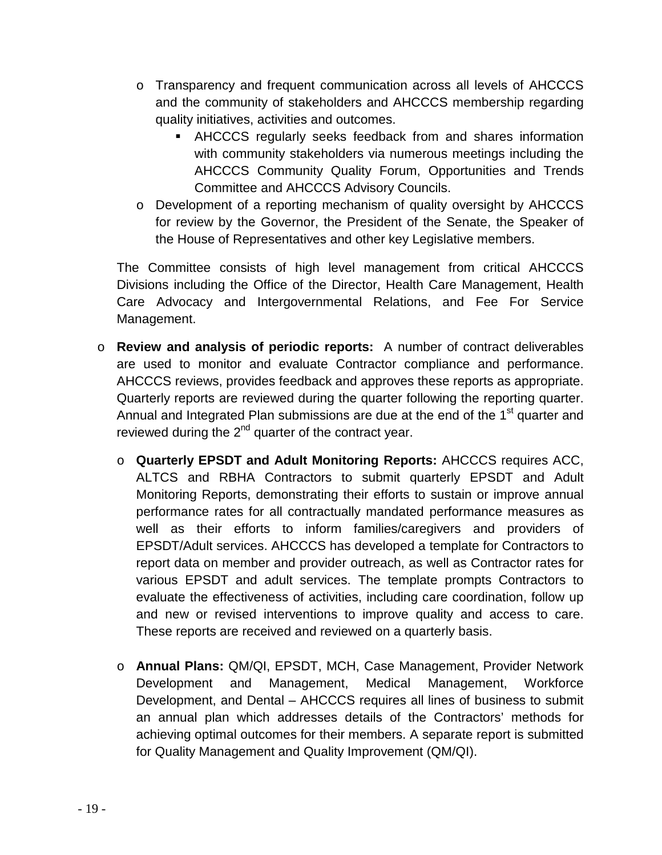- o Transparency and frequent communication across all levels of AHCCCS and the community of stakeholders and AHCCCS membership regarding quality initiatives, activities and outcomes.
	- AHCCCS regularly seeks feedback from and shares information with community stakeholders via numerous meetings including the AHCCCS Community Quality Forum, Opportunities and Trends Committee and AHCCCS Advisory Councils.
- o Development of a reporting mechanism of quality oversight by AHCCCS for review by the Governor, the President of the Senate, the Speaker of the House of Representatives and other key Legislative members.

The Committee consists of high level management from critical AHCCCS Divisions including the Office of the Director, Health Care Management, Health Care Advocacy and Intergovernmental Relations, and Fee For Service Management.

- o **Review and analysis of periodic reports:** A number of contract deliverables are used to monitor and evaluate Contractor compliance and performance. AHCCCS reviews, provides feedback and approves these reports as appropriate. Quarterly reports are reviewed during the quarter following the reporting quarter. Annual and Integrated Plan submissions are due at the end of the  $1<sup>st</sup>$  quarter and reviewed during the  $2^{nd}$  quarter of the contract year.
	- o **Quarterly EPSDT and Adult Monitoring Reports:** AHCCCS requires ACC, ALTCS and RBHA Contractors to submit quarterly EPSDT and Adult Monitoring Reports, demonstrating their efforts to sustain or improve annual performance rates for all contractually mandated performance measures as well as their efforts to inform families/caregivers and providers of EPSDT/Adult services. AHCCCS has developed a template for Contractors to report data on member and provider outreach, as well as Contractor rates for various EPSDT and adult services. The template prompts Contractors to evaluate the effectiveness of activities, including care coordination, follow up and new or revised interventions to improve quality and access to care. These reports are received and reviewed on a quarterly basis.
	- o **Annual Plans:** QM/QI, EPSDT, MCH, Case Management, Provider Network Development and Management, Medical Management, Workforce Development, and Dental – AHCCCS requires all lines of business to submit an annual plan which addresses details of the Contractors' methods for achieving optimal outcomes for their members. A separate report is submitted for Quality Management and Quality Improvement (QM/QI).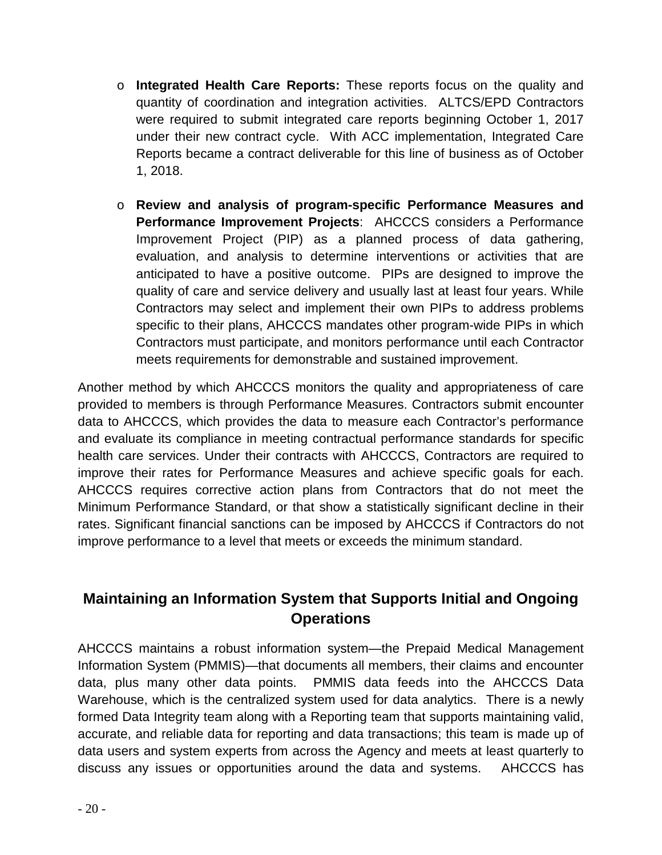- o **Integrated Health Care Reports:** These reports focus on the quality and quantity of coordination and integration activities. ALTCS/EPD Contractors were required to submit integrated care reports beginning October 1, 2017 under their new contract cycle. With ACC implementation, Integrated Care Reports became a contract deliverable for this line of business as of October 1, 2018.
- o **Review and analysis of program-specific Performance Measures and Performance Improvement Projects**: AHCCCS considers a Performance Improvement Project (PIP) as a planned process of data gathering, evaluation, and analysis to determine interventions or activities that are anticipated to have a positive outcome. PIPs are designed to improve the quality of care and service delivery and usually last at least four years. While Contractors may select and implement their own PIPs to address problems specific to their plans, AHCCCS mandates other program-wide PIPs in which Contractors must participate, and monitors performance until each Contractor meets requirements for demonstrable and sustained improvement.

Another method by which AHCCCS monitors the quality and appropriateness of care provided to members is through Performance Measures. Contractors submit encounter data to AHCCCS, which provides the data to measure each Contractor's performance and evaluate its compliance in meeting contractual performance standards for specific health care services. Under their contracts with AHCCCS, Contractors are required to improve their rates for Performance Measures and achieve specific goals for each. AHCCCS requires corrective action plans from Contractors that do not meet the Minimum Performance Standard, or that show a statistically significant decline in their rates. Significant financial sanctions can be imposed by AHCCCS if Contractors do not improve performance to a level that meets or exceeds the minimum standard.

# **Maintaining an Information System that Supports Initial and Ongoing Operations**

AHCCCS maintains a robust information system—the Prepaid Medical Management Information System (PMMIS)—that documents all members, their claims and encounter data, plus many other data points. PMMIS data feeds into the AHCCCS Data Warehouse, which is the centralized system used for data analytics. There is a newly formed Data Integrity team along with a Reporting team that supports maintaining valid, accurate, and reliable data for reporting and data transactions; this team is made up of data users and system experts from across the Agency and meets at least quarterly to discuss any issues or opportunities around the data and systems. AHCCCS has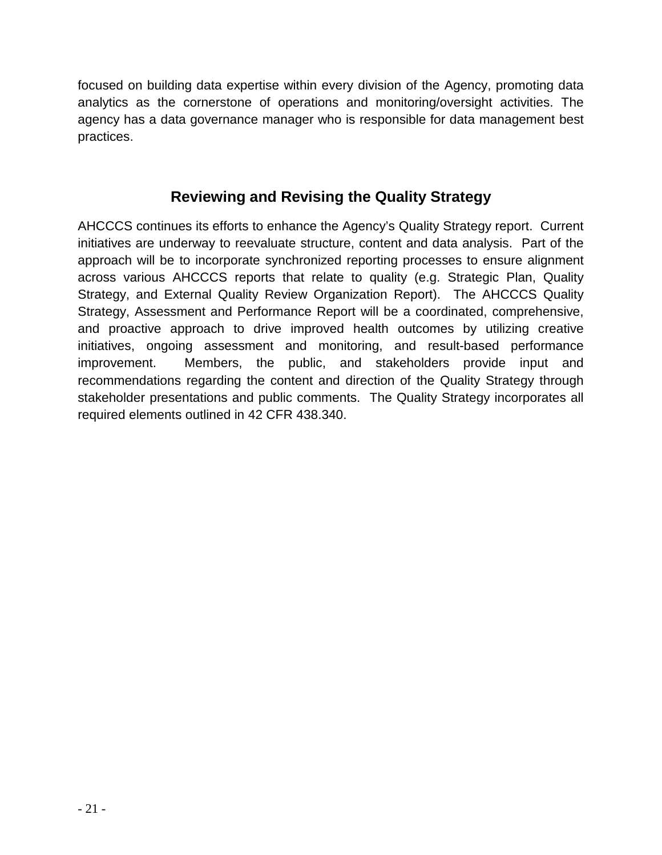focused on building data expertise within every division of the Agency, promoting data analytics as the cornerstone of operations and monitoring/oversight activities. The agency has a data governance manager who is responsible for data management best practices.

# **Reviewing and Revising the Quality Strategy**

AHCCCS continues its efforts to enhance the Agency's Quality Strategy report. Current initiatives are underway to reevaluate structure, content and data analysis. Part of the approach will be to incorporate synchronized reporting processes to ensure alignment across various AHCCCS reports that relate to quality (e.g. Strategic Plan, Quality Strategy, and External Quality Review Organization Report). The AHCCCS Quality Strategy, Assessment and Performance Report will be a coordinated, comprehensive, and proactive approach to drive improved health outcomes by utilizing creative initiatives, ongoing assessment and monitoring, and result-based performance improvement. Members, the public, and stakeholders provide input and recommendations regarding the content and direction of the Quality Strategy through stakeholder presentations and public comments. The Quality Strategy incorporates all required elements outlined in 42 CFR 438.340.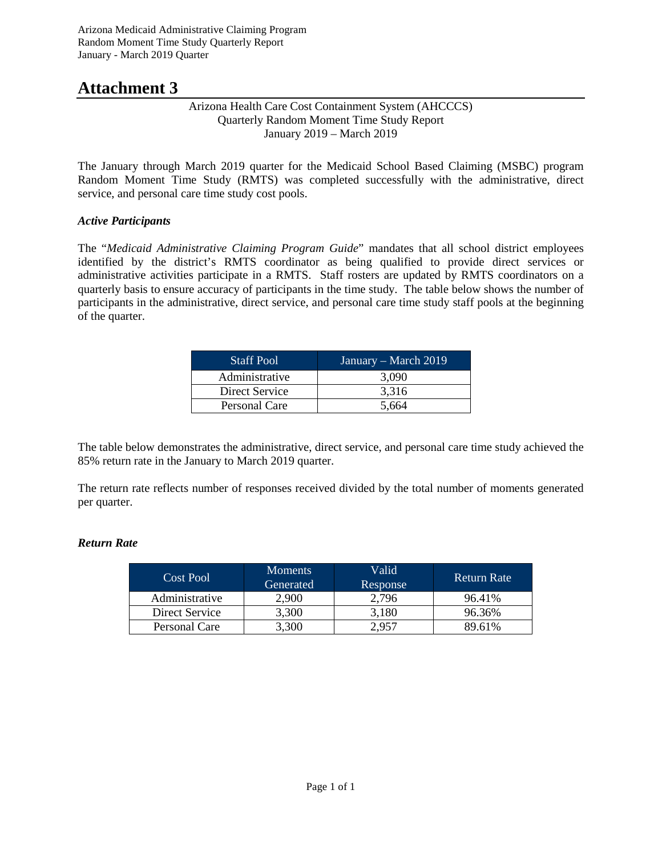# **Attachment 3**

#### Arizona Health Care Cost Containment System (AHCCCS) Quarterly Random Moment Time Study Report January 2019 – March 2019

The January through March 2019 quarter for the Medicaid School Based Claiming (MSBC) program Random Moment Time Study (RMTS) was completed successfully with the administrative, direct service, and personal care time study cost pools.

### *Active Participants*

The "*Medicaid Administrative Claiming Program Guide*" mandates that all school district employees identified by the district's RMTS coordinator as being qualified to provide direct services or administrative activities participate in a RMTS. Staff rosters are updated by RMTS coordinators on a quarterly basis to ensure accuracy of participants in the time study. The table below shows the number of participants in the administrative, direct service, and personal care time study staff pools at the beginning of the quarter.

| <b>Staff Pool</b> | January – March 2019 |
|-------------------|----------------------|
| Administrative    | 3.090                |
| Direct Service    | 3.316                |
| Personal Care     | 5.664                |

The table below demonstrates the administrative, direct service, and personal care time study achieved the 85% return rate in the January to March 2019 quarter.

The return rate reflects number of responses received divided by the total number of moments generated per quarter.

### *Return Rate*

| Cost Pool      | <b>Moments</b><br>Generated | Valid<br>Response | Return Rate |  |  |
|----------------|-----------------------------|-------------------|-------------|--|--|
| Administrative | 2,900                       | 2,796             | 96.41%      |  |  |
| Direct Service | 3,300                       | 3,180             | 96.36%      |  |  |
| Personal Care  | 3,300                       | 2.957             | 89.61%      |  |  |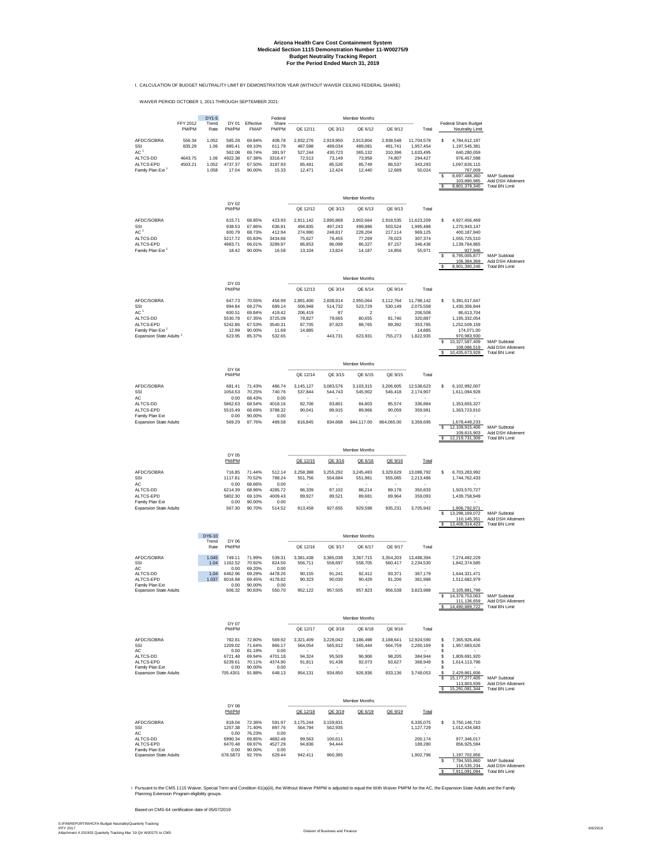I. CALCULATION OF BUDGET NEUTRALITY LIMIT BY DEMONSTRATION YEAR (WITHOUT WAIVER CEILING FEDERAL SHARE)

WAIVER PERIOD OCTOBER 1, 2011 THROUGH SEPTEMBER 2021:

|                                                                     |                    | DY1-5           |                    |                          | Federal            |                            |                      | Member Months        |                       |                         |                                                     |                                                        |
|---------------------------------------------------------------------|--------------------|-----------------|--------------------|--------------------------|--------------------|----------------------------|----------------------|----------------------|-----------------------|-------------------------|-----------------------------------------------------|--------------------------------------------------------|
|                                                                     | FFY 2012<br>PM/PM  | Trend<br>Rate   | DY 01<br>PM/PM     | Effective<br><b>FMAP</b> | Share -<br>PM/PM   | QE 12/11                   | QE 3/12              | QE 6/12              | QE 9/12               | Total                   | Federal Share Budget<br><b>Neutrality Limit</b>     |                                                        |
| AFDC/SOBRA                                                          | 556.34             | 1.052           | 585.28             | 69.84%                   | 408.78             | 2,932,276                  | 2,919,950            | 2,913,804            | 2,938,548             | 11,704,578              | \$<br>4,784,612,197                                 |                                                        |
| SSI<br>AC 1                                                         | 835.29             | 1.06            | 885.41<br>562.08   | 69.10%<br>69.74%         | 611.79<br>391.97   | 487.598<br>527.244         | 489.034<br>430.723   | 489.081<br>365.132   | 491.741<br>310.396    | 1,957,454<br>1.633.495  | 1.197.545.381<br>640,280,059                        |                                                        |
| ALTCS-DD<br>ALTCS-EPD                                               | 4643.75<br>4503.21 | 1.06<br>1.052   | 4922.38<br>4737.37 | 67.38%<br>67.50%         | 3316.47<br>3197.93 | 72,513<br>85,481           | 73,149<br>85,526     | 73,958<br>85,749     | 74,807<br>86,537      | 294,427<br>343,293      | 976,457,598<br>1,097,826,115                        |                                                        |
| Family Plan Ext <sup>1</sup>                                        |                    | 1.058           | 17.04              | 90.00%                   | 15.33              | 12,471                     | 12,424               | 12,440               | 12,689                | 50,024                  | 767,009                                             |                                                        |
|                                                                     |                    |                 |                    |                          |                    |                            |                      |                      |                       |                         | 8,697,488,360<br>s<br>103,890,985                   | <b>MAP Subtotal</b><br>Add DSH Allotment               |
|                                                                     |                    |                 |                    |                          |                    |                            |                      |                      |                       |                         | 8,801,379,345                                       | Total BN Limit                                         |
|                                                                     |                    |                 | DY 02              |                          |                    |                            |                      | <b>Member Months</b> |                       |                         |                                                     |                                                        |
|                                                                     |                    |                 | PM/PM              |                          |                    | QE 12/12                   | QE 3/13              | QE 6/13              | QE 9/13               | Total                   |                                                     |                                                        |
| AFDC/SOBRA                                                          |                    |                 | 615.71             | 68.85%                   | 423.93             | 2.911.142                  | 2.890.868            | 2.902.664            | 2.918.535             | 11.623.209              | 4.927.456.469<br>s                                  |                                                        |
| SSI<br>AC '                                                         |                    |                 | 938.53<br>600.79   | 67.86%<br>68.73%         | 636.91<br>412.94   | 494,835<br>274,990         | 497,243<br>248,817   | 499,886<br>228.204   | 503,524<br>217.114    | 1,995,488<br>969,125    | 1,270,943,147<br>400,187,940                        |                                                        |
| ALTCS-DD<br>ALTCS-EPD                                               |                    |                 | 5217.72<br>4983.71 | 65.83%<br>66.01%         | 3434.66<br>3289.97 | 75,627<br>86,853           | 76.455<br>86,099     | 77,269<br>86,327     | 78.023<br>87,157      | 307,374<br>346,436      | 1,055,725,510<br>1,139,764,865                      |                                                        |
| Family Plan Ext <sup>1</sup>                                        |                    |                 | 18.42              | 90.00%                   | 16.58              | 13,104                     | 13,824               | 14,187               | 14,856                | 55,971                  | 927,946                                             |                                                        |
|                                                                     |                    |                 |                    |                          |                    |                            |                      |                      |                       |                         | 8,795,005,877<br>106,384,369                        | <b>MAP Subtotal</b><br>Add DSH Allotment               |
|                                                                     |                    |                 |                    |                          |                    |                            |                      |                      |                       |                         | \$<br>8,901,390,246                                 | Total BN Limit                                         |
|                                                                     |                    |                 | DY 03              |                          |                    |                            |                      | Member Months        |                       |                         |                                                     |                                                        |
|                                                                     |                    |                 | PM/PM              |                          |                    | QE 12/13                   | QE 3/14              | QE 6/14              | QE 9/14               | Total                   |                                                     |                                                        |
| AFDC/SOBRA<br>SSI                                                   |                    |                 | 647.73<br>994.84   | 70.55%<br>69.27%         | 456.99<br>689.14   | 2,891,400<br>506,948       | 2,838,914<br>514,732 | 2,955,064<br>523,729 | 3,112,764<br>530,149  | 11,798,142<br>2,075,558 | 5,391,617,647<br>\$<br>1,430,356,844                |                                                        |
| AC 1                                                                |                    |                 | 600.51             | 69.84%                   | 419.42             | 206,419                    | 87                   | $\overline{2}$       |                       | 206,508                 | 86,613,704                                          |                                                        |
| ALTCS-DD<br>ALTCS-EPD                                               |                    |                 | 5530.78<br>5242.86 | 67.35%<br>67.53%         | 3725.09<br>3540.31 | 78,827<br>87,705           | 79,665<br>87,923     | 80,655<br>88,765     | 81,740<br>89,392      | 320,887<br>353.785      | 1,195,332,054<br>1.252.509.159                      |                                                        |
| Family Plan Ext <sup>1</sup><br>Expansion State Adults <sup>1</sup> |                    |                 | 12.99<br>623.95    | 90.00%<br>85.37%         | 11.69<br>532.65    | 14,885                     | 443,731              | 623,931              | $\sim$<br>755,273     | 14,885<br>1,822,935     | 174.071.00<br>970,983,930                           |                                                        |
|                                                                     |                    |                 |                    |                          |                    |                            |                      |                      |                       |                         | 10,327,587,409<br>s                                 | <b>MAP Subtotal</b><br><b>Add DSH Allotment</b>        |
|                                                                     |                    |                 |                    |                          |                    |                            |                      |                      |                       |                         | 108,086,519<br>$\mathbf{s}$<br>10,435,673,928       | Total BN Limit                                         |
|                                                                     |                    |                 |                    |                          |                    |                            |                      | Member Months        |                       |                         |                                                     |                                                        |
|                                                                     |                    |                 | DY 04<br>PM/PM     |                          |                    | QE 12/14                   | QE 3/15              | QE 6/15              | QE 9/15               | Total                   |                                                     |                                                        |
| AFDC/SOBRA                                                          |                    |                 | 681.41             | 71.43%                   | 486.74             | 3,145,127                  | 3,083,576            | 3,103,315            | 3,206,605             | 12,538,623              | \$<br>6,102,992,007                                 |                                                        |
| SSI<br>АC                                                           |                    |                 | 1054.53<br>0.00    | 70.25%<br>68.43%         | 740.76<br>0.00     | 537,844                    | 544,743<br>$\sim$    | 545,902              | 546,418<br>$\epsilon$ | 2,174,907               | 1,611,094,928<br>$\sim$                             |                                                        |
| ALTCS-DD                                                            |                    |                 | 5862.63<br>5515.49 | 68.54%                   | 4018.16<br>3788.32 | 82,706                     | 83,801               | 84,803               | 85,574                | 336,884                 | 1,353,655,327                                       |                                                        |
| ALTCS-EPD<br>Family Plan Ext                                        |                    |                 | 0.00               | 68.69%<br>90.00%         | 0.00               | 90.041                     | 89,915               | 89,966               | 90,059                | 359,981                 | 1,363,723,910                                       |                                                        |
| <b>Expansion State Adults</b>                                       |                    |                 | 569.29             | 87.76%                   | 499.58             | 816,845                    | 834,668              | 844,117.00           | 864,065.00            | 3,359,695               | 1,678,449,233<br>12,109,915,406                     | MAP Subtotal                                           |
|                                                                     |                    |                 |                    |                          |                    |                            |                      |                      |                       |                         | 109,815,903<br><b>s</b><br>12,219,731,309           | Add DSH Allotment<br><b>Total BN Limit</b>             |
|                                                                     |                    |                 |                    |                          |                    |                            |                      | Member Months        |                       |                         |                                                     |                                                        |
|                                                                     |                    |                 | DY 05<br>PM/PM     |                          |                    | QE 12/15                   | QE 3/16              | QE 6/16              | QE 9/16               | Total                   |                                                     |                                                        |
| AFDC/SOBRA                                                          |                    |                 | 716.85             | 71.44%                   | 512.14             | 3,258,388                  | 3,255,292            | 3,245,483            | 3,329,629             | 13,088,792              | 6,703,283,992                                       |                                                        |
| SSI                                                                 |                    |                 | 1117.81            | 70.52%                   | 788.24             | 551,756                    | 554,684              | 551,981              | 555,065               | 2,213,486               | 1,744,762,433                                       |                                                        |
| АC<br>ALTCS-DD                                                      |                    |                 | 0.00<br>6214.39    | 68.66%<br>68.96%         | 0.00<br>4285.72    | 86,339                     | <b>.</b><br>87,102   | 88,214               | $\sim$<br>89,178      | 350,833                 | 1,503,570,727                                       |                                                        |
| ALTCS-EPD<br>Family Plan Ext                                        |                    |                 | 5802.30<br>0.00    | 69.10%<br>90.00%         | 4009.43<br>0.00    | 89,927<br>$\sim$ 100 $\mu$ | 89,521<br>$\sim$     | 89,681<br>$\sim$     | 89,964<br>$\sim$      | 359,093<br>$\sim$       | 1,439,758,949                                       |                                                        |
| <b>Expansion State Adults</b>                                       |                    |                 | 567.30             | 90.70%                   | 514.52             | 913,458                    | 927,655              | 929,598              | 935,231               | 3,705,942               | 1,906,792,971<br>13,298,169,072<br>s                | <b>MAP Subtotal</b>                                    |
|                                                                     |                    |                 |                    |                          |                    |                            |                      |                      |                       |                         | 110,145,351<br>-S                                   | Add DSH Allotment                                      |
|                                                                     |                    |                 |                    |                          |                    |                            |                      |                      |                       |                         | 13,408,314,423                                      | Total BN Limit                                         |
|                                                                     |                    | DY6-10<br>Trend | DY 06              |                          |                    |                            |                      | <b>Member Months</b> |                       |                         |                                                     |                                                        |
|                                                                     |                    | Rate            | PM/PM              |                          |                    | QE 12/16                   | QE 3/17              | QE 6/17              | QE 9/17               | Total                   |                                                     |                                                        |
| AFDC/SOBRA<br>SSI                                                   |                    | 1.045<br>1.04   | 749.11<br>1162.52  | 71.99%<br>70.92%         | 539.31<br>824.50   | 3,381,438<br>556,711       | 3,385,038<br>558,697 | 3,367,715<br>558,705 | 3,354,203<br>560,417  | 13,488,394<br>2,234,530 | 7,274,492,229<br>1,842,374,585                      |                                                        |
| АC<br>ALTCS-DD                                                      |                    | 1.04            | 0.00<br>6462.96    | 69.20%<br>69.29%         | 0.00<br>4478.26    | 90,155                     | 91,241               | 92,412               | 93,371                | 367,179                 | 1,644,321,471                                       |                                                        |
| ALTCS-EPD<br>Family Plan Ext                                        |                    | 1.037           | 6016.98<br>0.00    | 69.45%<br>90.00%         | 4178.82<br>0.00    | 90,323                     | 90,030               | 90,429               | 91,206<br>$\sim$      | 361,988                 | 1,512,682,979                                       |                                                        |
| <b>Expansion State Adults</b>                                       |                    |                 | 606.32             | 90.83%                   | 550.70             | 952,122                    | 957,505              | 957,823              | 956,538               | 3,823,988               | 2,105,881,799<br>14,379,753,063 MAP Subtotal        |                                                        |
|                                                                     |                    |                 |                    |                          |                    |                            |                      |                      |                       |                         | 14,490,889,722<br>$\mathbf{s}$                      | 111,136,659 Add DSH Allotment<br><b>Total BN Limit</b> |
|                                                                     |                    |                 |                    |                          |                    |                            |                      |                      |                       |                         |                                                     |                                                        |
|                                                                     |                    |                 | DY 07              |                          |                    | ----------------------     |                      | Member Months        | --------------        |                         |                                                     |                                                        |
|                                                                     |                    |                 | PM/PM              |                          |                    | QE 12/17                   | QE 3/18              | QE 6/18              | QE 9/18               | Total                   |                                                     |                                                        |
| AFDC/SOBRA<br>SSI                                                   |                    |                 | 782.81<br>1209.02  | 72.80%<br>71.64%         | 569.92<br>866.17   | 3.321.409<br>564,054       | 3,228,042<br>565,912 | 3.186.498<br>565,444 | 3.188.641<br>564,759  | 12.924.590<br>2,260,169 | 7.365.926.456<br>-S.<br>1,957,683,626<br>s          |                                                        |
| АC<br>ALTCS-DD                                                      |                    |                 | 0.00<br>6721.48    | 81.19%<br>69.94%         | 0.00<br>4701.18    | $\sim$<br>94.324           | $\sim$<br>95.509     | 96.906               | $\sim$<br>98.205      | $\sim$<br>384,944       | s<br>$\sim$<br>1,809,691,920<br>£.                  |                                                        |
| ALTCS-EPD<br>Family Plan Ext                                        |                    |                 | 6239.61<br>0.00    | 70.11%<br>90.00%         | 4374.90<br>0.00    | 91,811                     | 91,438               | 92,073<br>$\sim$     | 93,627<br>$\sim$      | 368,949<br>$\sim$       | s<br>1,614,113,796<br>s                             |                                                        |
| <b>Expansion State Adults</b>                                       |                    |                 | 705.4301           | 91.88%                   | 648.13             | 954,131                    | 934,850              | 926,936              | 933,136               | 3,749,053               | 2,429,861,606<br>s<br>s<br>15, 177, 277, 405        | MAP Subtotal                                           |
|                                                                     |                    |                 |                    |                          |                    |                            |                      |                      |                       |                         | 113,803,939<br>$\mathbf{\hat{s}}$<br>15,291,081,344 | Add DSH Allotment<br><b>Total BN Limit</b>             |
|                                                                     |                    |                 |                    |                          |                    |                            |                      |                      |                       |                         |                                                     |                                                        |
|                                                                     |                    |                 | DY 08              |                          |                    |                            |                      | Member Months        |                       |                         |                                                     |                                                        |
|                                                                     |                    |                 | PM/PM              |                          |                    | QE 12/18                   | QE 3/19              | QE 6/19              | QE 9/19               | Total                   |                                                     |                                                        |
| AFDC/SOBRA<br>SSI                                                   |                    |                 | 818.04<br>1257.38  | 72.36%<br>71.40%         | 591.97<br>897.76   | 3,175,244<br>564,794       | 3.159.831<br>562,935 |                      |                       | 6.335.075<br>1,127,729  | \$ 3.750.146.710<br>1,012,434,683                   |                                                        |
| АC<br>ALTCS-DD                                                      |                    |                 | 0.00<br>6990.34    | 76.23%<br>69.85%         | 0.00<br>4882.48    | 99.563                     | 100.611              |                      |                       | 200.174                 | 977.346.017                                         |                                                        |
| ALTCS-EPD<br>Family Plan Ext                                        |                    |                 | 6470.48<br>0.00    | 69.97%<br>90.00%         | 4527.29<br>0.00    | 94,836                     | 94,444               |                      |                       | 189,280                 | 856,925,594                                         |                                                        |
| <b>Expansion State Adults</b>                                       |                    |                 | 678.5873           | 92.76%                   | 629.44             | 942,411                    | 960,385              |                      |                       | 1,902,796               | 1,197,702,856<br>7,794,555,860<br>s                 | <b>MAP Subtotal</b>                                    |
|                                                                     |                    |                 |                    |                          |                    |                            |                      |                      |                       |                         | 116,535,234<br>S,<br>7,911,091,094                  | Add DSH Allotment<br><b>Total BN Limit</b>             |
|                                                                     |                    |                 |                    |                          |                    |                            |                      |                      |                       |                         |                                                     |                                                        |

'Pursuant to the CMS 1115 Waiver, Special Term and Condition 61(a)(iii), the Without Waiver PMPM is adjusted to equal the With Waiver PMPM for the AC, the Expansion State Adults and the Family<br>Planning Extension Program e

Based on CMS-64 certification date of 05/07/2019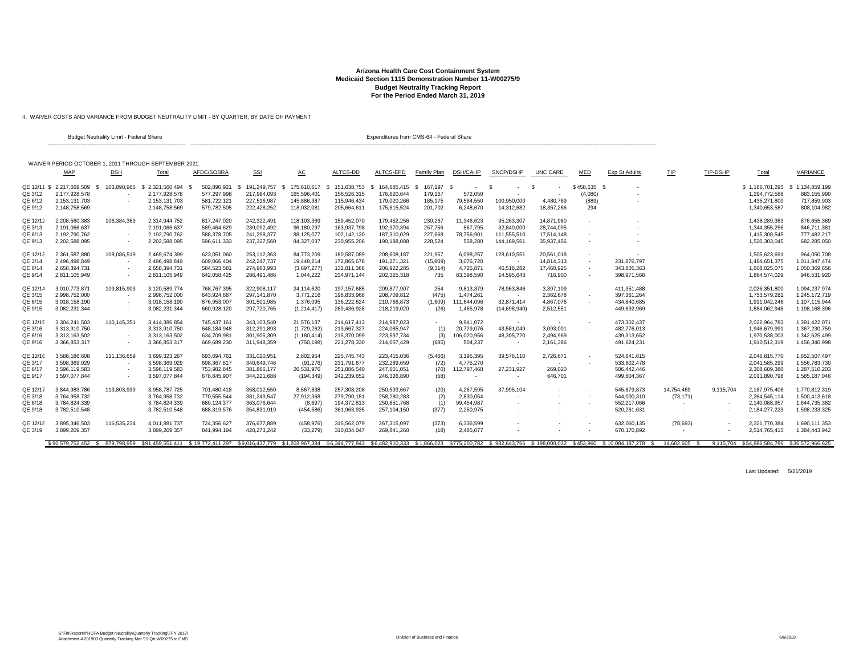II. WAIVER COSTS AND VARIANCE FROM BUDGET NEUTRALITY LIMIT - BY QUARTER, BY DATE OF PAYMENT

|          |                                                       | Budget Neutrality Limit - Federal Share |                 |               |             |               |             | Expenditures from CMS-64 - Federal Share |                  |                 |                          |            |                          |                                                                                                                                                                                                                       |                          |                          |                                             |               |
|----------|-------------------------------------------------------|-----------------------------------------|-----------------|---------------|-------------|---------------|-------------|------------------------------------------|------------------|-----------------|--------------------------|------------|--------------------------|-----------------------------------------------------------------------------------------------------------------------------------------------------------------------------------------------------------------------|--------------------------|--------------------------|---------------------------------------------|---------------|
|          | WAIVER PERIOD OCTOBER 1, 2011 THROUGH SEPTEMBER 2021: |                                         |                 |               |             |               |             |                                          |                  |                 |                          |            |                          |                                                                                                                                                                                                                       |                          |                          |                                             |               |
|          | MAP                                                   | <b>DSH</b>                              | Total           | AFDC/SOBRA    | <b>SSI</b>  | AC            | ALTCS-DD    | ALTCS-EPD                                | Family Plan      | <b>DSH/CAHP</b> | SNCP/DSHP                | UNC CARE   | MED                      | Exp St Adults                                                                                                                                                                                                         | TIP                      | <b>TIP-DSHP</b>          | Total                                       | VARIANCE      |
|          | QE 12/11 \$ 2.217,669,509                             | 103.890.985                             | \$2.321.560.494 | 502.890.921   | 191.249.757 | 175.610.617   | 151.638.753 | 164.685.415                              | 167.197 \$<br>s. | $\sim$          | £.                       |            | \$458.635                |                                                                                                                                                                                                                       |                          |                          | \$1.186,701.295                             | 1,134,859,199 |
| QE 3/12  | 2,177,928,578                                         |                                         | 2,177,928,578   | 577,297,998   | 217,984,093 | 165,596,401   | 156,526,315 | 176,620,644                              | 179,167          | 572,050         |                          |            | (4,080)                  |                                                                                                                                                                                                                       |                          |                          | 1,294,772,588                               | 883,155,990   |
| QE 6/12  | 2.153.131.703                                         |                                         | 2.153.131.703   | 581,722,121   | 227,516,987 | 145.886.387   | 115,946,434 | 179.020.266                              | 185,175          | 79,564,550      | 100,950,000              | 4.480.769  | (889)                    |                                                                                                                                                                                                                       |                          |                          | 1,435,271,800                               | 717.859.903   |
| QE 9/12  | 2,148,758,569                                         |                                         | 2,148,758,569   | 579,782,505   | 222,428,252 | 118,032,081   | 205,664,611 | 175,615,524                              | 201,702          | 6,248,670       | 14,312,682               | 18,367,266 | 294                      |                                                                                                                                                                                                                       |                          |                          | 1,340,653,587                               | 808,104,982   |
| QE 12/12 | 2.208.560.383                                         | 106.384.369                             | 2.314.944.752   | 617.247.020   | 242.322.491 | 118.103.369   | 159.452.070 | 179.452.256                              | 230.267          | 11.346.623      | 95.263.307               | 14.871.980 |                          |                                                                                                                                                                                                                       |                          |                          | 1.438.289.383                               | 876.655.369   |
| QE 3/13  | 2.191.066.637                                         |                                         | 2.191.066.637   | 589,464,629   | 239.092.492 | 96,180,297    | 163,937,798 | 192,970,394                              | 257,756          | 867.795         | 32,840,000               | 28,744,095 |                          |                                                                                                                                                                                                                       |                          |                          | 1,344,355,256                               | 846.711.381   |
| QE 6/13  | 2.192.790.762                                         |                                         | 2.192.790.762   | 588.378.705   | 241.298.377 | 88,125,077    | 102.142.130 | 187.310.029                              | 227,668          | 78,756,901      | 111,555,510              | 17.514.148 |                          |                                                                                                                                                                                                                       |                          |                          | 1,415,308,545                               | 777,482,217   |
| QE 9/13  | 2,202,588,095                                         |                                         | 2,202,588,095   | 596,611,333   | 237,327,560 | 84,327,037    | 230,955,206 | 190,188,088                              | 228,524          | 558,280         | 144,169,561              | 35,937,456 |                          |                                                                                                                                                                                                                       |                          |                          | 1,520,303,045                               | 682,285,050   |
| QE 12/13 | 2,361,587,880                                         | 108,086,519                             | 2.469.674.399   | 623,051,060   | 253,112,363 | 84,773,209    | 180,587,089 | 208,608,187                              | 221,957          | 6,098,257       | 128,610,551              | 20,561,018 |                          |                                                                                                                                                                                                                       |                          |                          | 1,505,623,69                                | 964,050,708   |
| QE 3/14  | 2,496,498,849                                         |                                         | 2,496,498,849   | 609,066,404   | 242,247,737 | 19,448,214    | 172,865,678 | 191,271,321                              | (15,809)         | 3,076,720       |                          | 14,814,313 |                          | 231,876,797                                                                                                                                                                                                           |                          |                          | 1,484,651,375                               | 1,011,847,474 |
| QE 6/14  | 2,658,394,731                                         |                                         | 2,658,394,731   | 584,523,581   | 274,963,993 | (3,697,277)   | 132,811,366 | 206,922,285                              | (9,314)          | 4,725,871       | 46,518,282               | 17,460,925 | $\sim$                   | 343,805,363                                                                                                                                                                                                           |                          |                          | 1,608,025,075                               | 1,050,369,656 |
| QE 9/14  | 2,811,105,949                                         |                                         | 2,811,105,949   | 642,058,425   | 286,491,486 | 1,044,222     | 234,971,144 | 202,325,318                              | 735              | 83,398,590      | 14,595,643               | 716,900    | $\sim$                   | 398.971.566                                                                                                                                                                                                           |                          |                          | 1,864,574,029                               | 946,531,920   |
| QE 12/14 | 3.010.773.87                                          | 109.815.903                             | 3.120.589.774   | 768.767.395   | 322.908.117 | 24.114.620    | 197.157.685 | 209.877.907                              | 254              | 9.813.379       | 78,963,846               | 3,397,109  |                          | 411.351.488                                                                                                                                                                                                           |                          |                          | 2.026.351.800                               | 1.094.237.974 |
| QE 3/15  | 2.998.752.000                                         |                                         | 2.998.752.000   | 643.924.687   | 297.141.870 | 3.771.216     | 198.833.968 | 208,709,812                              | (475)            | 1.474.261       |                          | 2,362,678  |                          | 397,361,264                                                                                                                                                                                                           |                          |                          | 1,753,579,28                                | 1,245,172,719 |
| QE 6/15  | 3,018,158,190                                         |                                         | 3,018,158,190   | 676,953,007   | 301,501,985 | 1,376,095     | 136,222,624 | 210,766,873                              | (1,609)          | 111,644,096     | 32,871,414               | 4,867,076  | $\overline{\phantom{a}}$ | 434,840,685                                                                                                                                                                                                           |                          |                          | 1,911,042,246                               | 1,107,115,944 |
| QE 9/15  | 3,082,231,344                                         |                                         | 3,082,231,344   | 660,928,120   | 297,720,765 | (1, 214, 417) | 269,436,928 | 218,219,020                              | (26)             | 1,465,978       | (14,698,940)             | 2,512,551  |                          | 449,692,969                                                                                                                                                                                                           |                          |                          | 1,884,062,948                               | 1,198,168,396 |
| QE 12/15 | 3.304.241.503                                         | 110.145.351                             | 3.414.386.854   | 745.437.161   | 343.103.540 | 21.576.137    | 214.617.413 | 214.987.023                              | ٠                | 9.941.072       | $\overline{\phantom{a}}$ |            |                          | 473.302.437                                                                                                                                                                                                           |                          |                          | 2.022.964.783                               | 1.391.422.071 |
| QE 3/16  | 3.313.910.750                                         |                                         | 3,313,910,750   | 648, 184, 948 | 312,291,893 | (1,729,262)   | 213,667,327 | 224,085,947                              | (1)              | 20,729,076      | 43,581,049               | 3,093,001  |                          | 482.776.013                                                                                                                                                                                                           |                          |                          | 1,946,679,991                               | 1,367,230,759 |
| QE 6/16  | 3,313,163,502                                         |                                         | 3,313,163,502   | 634,709,981   | 301,905,309 | (1, 180, 414) | 215,370,099 | 223,597,734                              | (3)              | 106,020,956     | 48,305,720               | 2,494,969  |                          | 439,313,652                                                                                                                                                                                                           |                          |                          | 1,970,538,003                               | 1,342,625,499 |
| QE 9/16  | 3,366,853,317                                         |                                         | 3,366,853,317   | 669,689,230   | 311,948,359 | (750, 198)    | 221,278,330 | 214,057,429                              | (685)            | 504,237         | $\overline{\phantom{a}}$ | 2,161,386  |                          | 491,624,231                                                                                                                                                                                                           |                          |                          | 1,910,512,319                               | 1,456,340,998 |
| QE 12/16 | 3,588,186,608                                         | 111,136,659                             | 3.699.323.267   | 693,694,761   | 331,020,951 | 2,802,954     | 225.745.743 | 223,415,036                              | (5,466)          | 3,195,395       | 39,578,110               | 2,726,671  |                          | 524,641,615                                                                                                                                                                                                           |                          |                          | 2,046,815,770                               | 1,652,507,497 |
| QE 3/17  | 3,598,369,029                                         |                                         | 3,598,369,029   | 698,367,817   | 340,649,746 | (91, 276)     | 231,791,677 | 232,289,659                              | (72)             | 4,775,270       |                          |            |                          | 533,802,478                                                                                                                                                                                                           |                          |                          | 2,041,585,299                               | 1,556,783,730 |
| QE 6/17  | 3.596.119.583                                         |                                         | 3.596.119.583   | 753,982,845   | 381,866,177 | 26,531,976    | 251,886,540 | 247,601,051                              | (70)             | 112,797,468     | 27,231,927               | 269,020    |                          | 506,442,446                                                                                                                                                                                                           |                          |                          | 2,308,609,380                               | 1,287,510,203 |
| QE 9/17  | 3,597,077,844                                         |                                         | 3,597,077,844   | 678,845,907   | 344,221,688 | (194, 349)    | 242,239,652 | 246,326,890                              | (58)             |                 | $\overline{\phantom{a}}$ | 646,701    |                          | 499,804,367                                                                                                                                                                                                           |                          |                          | 2,011,890,798                               | 1,585,187,046 |
| QE 12/17 | 3.844.983.786                                         | 113.803.939                             | 3.958.787.725   | 701,480,418   | 358.012.550 | 8.567.838     | 257,308,208 | 250.593.667                              | (20)             | 4.267.595       | 37.995.104               |            | $\sim$                   | 545.879.873                                                                                                                                                                                                           | 14,754,469               | 9.115.704                | 2.187.975.406                               | 1,770,812,319 |
| QE 3/18  | 3.764.958.732                                         |                                         | 3.764.958.732   | 770.555.544   | 381.249.547 | 27,912,368    | 279.790.181 | 258,280,283                              | (2)              | 2.830.054       |                          |            |                          | 544,000,310                                                                                                                                                                                                           | (73, 171)                |                          | 2,264,545,114                               | 1.500.413.618 |
| QE 6/18  | 3,784,824,339                                         |                                         | 3.784.824.339   | 680, 124, 377 | 363.076.644 | (8,697)       | 194,372,813 | 250,851,768                              | (1)              | 99,454,987      |                          |            |                          | 552.217.066                                                                                                                                                                                                           |                          |                          | 2,140,088,957                               | 1,644,735,382 |
| QE 9/18  | 3,782,510,548                                         |                                         | 3,782,510,548   | 688,319,576   | 354,831,919 | (454, 586)    | 361,963,935 | 257,104,150                              | (377)            | 2,250,975       |                          |            |                          | 520,261,631                                                                                                                                                                                                           |                          |                          | 2,184,277,223                               | 1,598,233,325 |
| QE 12/18 | 3,895,346,503                                         | 116,535,234                             | 4,011,881,737   | 724,356,627   | 376,677,889 | (458, 976)    | 315,562,079 | 267,315,097                              | (373)            | 6,336,599       |                          |            | $\sim$                   | 632,060,135                                                                                                                                                                                                           | (78, 693)                | $\overline{\phantom{a}}$ | 2,321,770,384                               | 1,690,111,353 |
| QE 3/19  | 3,899,209,357                                         |                                         | 3,899,209,357   | 841,994,194   | 420,273,242 | (33, 279)     | 310,034,047 | 269,841,260                              | (18)             | 2,485,077       |                          |            |                          | 670,170,892                                                                                                                                                                                                           | $\overline{\phantom{a}}$ |                          | 2,514,765,415                               | 1,384,443,942 |
|          |                                                       |                                         |                 |               |             |               |             |                                          |                  |                 |                          |            |                          | \$90.579.752.452 \$ 879.798.959 \$91.459.551.411 \$19.772.411.297 \$9.016.437.779 \$1.203.967.384 \$6.344.777.843 \$6.482.910.333 \$1.866.023 \$775.200.782 \$982.643.766 \$198.000.032 \$453.960 \$10.084.197.278 \$ | 14.602.605 \$            |                          | 9.115.704 \$54.886.584.786 \$36.572.966.625 |               |

Last Updated: 5/21/2019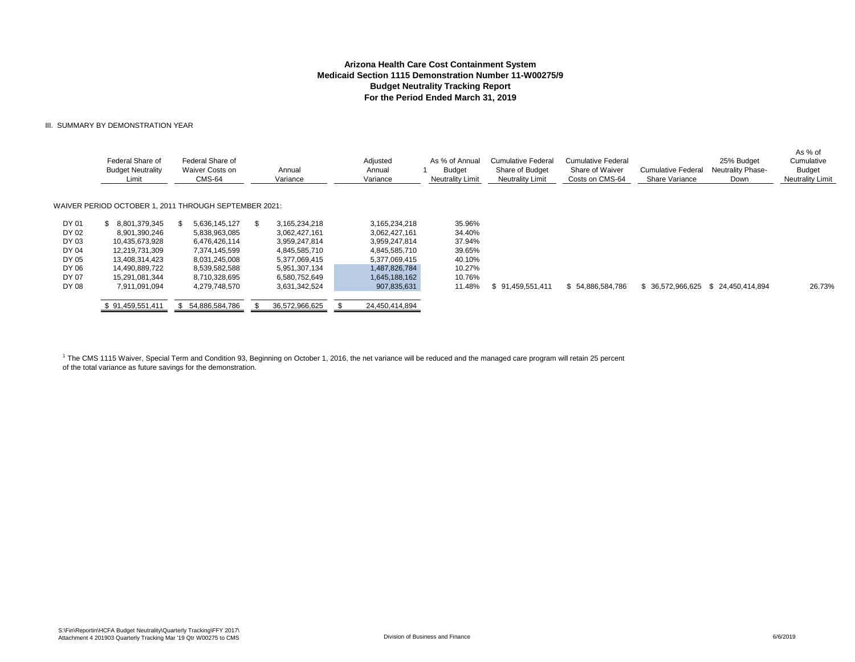#### III. SUMMARY BY DEMONSTRATION YEAR

|       | Federal Share of<br><b>Budget Neutrality</b><br>Limit | Federal Share of<br>Waiver Costs on<br>CMS-64 | Annual<br>Variance | Adjusted<br>Annual<br>Variance | As % of Annual<br>Budget<br><b>Neutrality Limit</b> | Cumulative Federal<br>Share of Budget<br><b>Neutrality Limit</b> | Cumulative Federal<br>Share of Waiver<br>Costs on CMS-64 | <b>Cumulative Federal</b><br>Share Variance | 25% Budget<br><b>Neutrality Phase-</b><br>Down | As % of<br>Cumulative<br><b>Budget</b><br><b>Neutrality Limit</b> |
|-------|-------------------------------------------------------|-----------------------------------------------|--------------------|--------------------------------|-----------------------------------------------------|------------------------------------------------------------------|----------------------------------------------------------|---------------------------------------------|------------------------------------------------|-------------------------------------------------------------------|
|       | WAIVER PERIOD OCTOBER 1, 2011 THROUGH SEPTEMBER 2021: |                                               |                    |                                |                                                     |                                                                  |                                                          |                                             |                                                |                                                                   |
| DY 01 | 8.801.379.345                                         | 5,636,145,127                                 | 3,165,234,218      | 3.165.234.218                  | 35.96%                                              |                                                                  |                                                          |                                             |                                                |                                                                   |
| DY 02 | 8,901,390,246                                         | 5,838,963,085                                 | 3,062,427,161      | 3,062,427,161                  | 34.40%                                              |                                                                  |                                                          |                                             |                                                |                                                                   |
| DY 03 | 10,435,673,928                                        | 6,476,426,114                                 | 3,959,247,814      | 3,959,247,814                  | 37.94%                                              |                                                                  |                                                          |                                             |                                                |                                                                   |
| DY 04 | 12,219,731,309                                        | 7,374,145,599                                 | 4,845,585,710      | 4,845,585,710                  | 39.65%                                              |                                                                  |                                                          |                                             |                                                |                                                                   |
| DY 05 | 13,408,314,423                                        | 8,031,245,008                                 | 5,377,069,415      | 5,377,069,415                  | 40.10%                                              |                                                                  |                                                          |                                             |                                                |                                                                   |
| DY 06 | 14,490,889,722                                        | 8,539,582,588                                 | 5,951,307,134      | 1,487,826,784                  | 10.27%                                              |                                                                  |                                                          |                                             |                                                |                                                                   |
| DY 07 | 15,291,081,344                                        | 8,710,328,695                                 | 6,580,752,649      | 1,645,188,162                  | 10.76%                                              |                                                                  |                                                          |                                             |                                                |                                                                   |
| DY 08 | 7,911,091,094                                         | 4,279,748,570                                 | 3,631,342,524      | 907,835,631                    | 11.48%                                              | 91,459,551,411                                                   | \$54,886,584,786                                         | \$ 36,572,966,625                           | \$24.450.414.894                               | 26.73%                                                            |
|       | \$91,459,551,411                                      | 54,886,584,786                                | 36,572,966,625     | 24,450,414,894                 |                                                     |                                                                  |                                                          |                                             |                                                |                                                                   |

<sup>1</sup> The CMS 1115 Waiver, Special Term and Condition 93, Beginning on October 1, 2016, the net variance will be reduced and the managed care program will retain 25 percent of the total variance as future savings for the demonstration.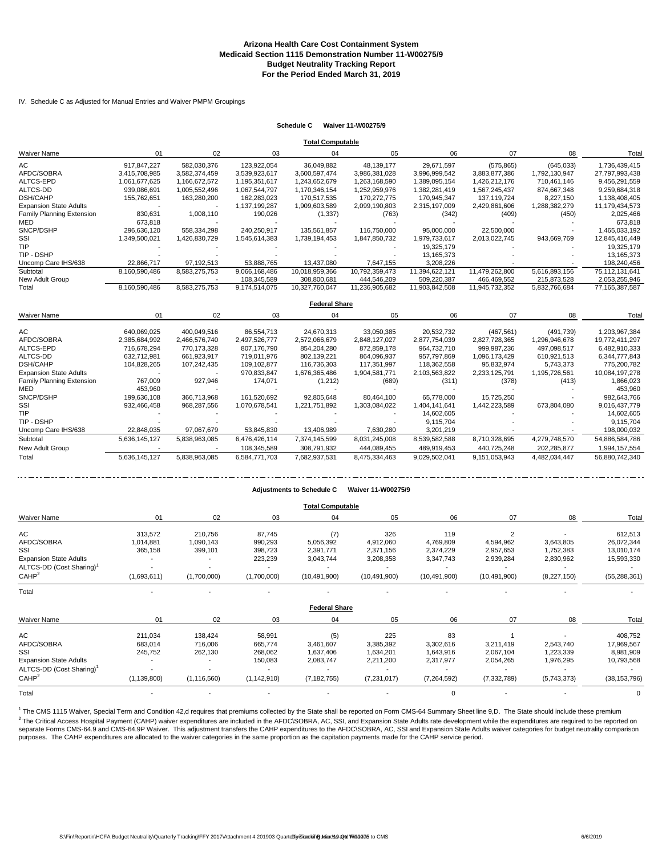IV. Schedule C as Adjusted for Manual Entries and Waiver PMPM Groupings

#### **Schedule C Waiver 11-W00275/9**

|                               |               |               |               | <b>Total Computable</b> |                |                |                |               |                |
|-------------------------------|---------------|---------------|---------------|-------------------------|----------------|----------------|----------------|---------------|----------------|
| <b>Waiver Name</b>            | 01            | 02            | 03            | 04                      | 05             | 06             | 07             | 08            | Total          |
| AC                            | 917.847.227   | 582,030,376   | 123,922,054   | 36,049,882              | 48,139,177     | 29.671.597     | (575, 865)     | (645, 033)    | 1,736,439,415  |
| AFDC/SOBRA                    | 3,415,708,985 | 3,582,374,459 | 3,539,923,617 | 3,600,597,474           | 3,986,381,028  | 3,996,999,542  | 3,883,877,386  | 1,792,130,947 | 27,797,993,438 |
| <b>ALTCS-EPD</b>              | 1,061,677,625 | 1,166,672,572 | 1,195,351,617 | 1,243,652,679           | 1.263.168.590  | 1.389.095.154  | 1,426,212,176  | 710.461.146   | 9,456,291,559  |
| ALTCS-DD                      | 939,086,691   | 1,005,552,496 | 1,067,544,797 | 1,170,346,154           | 1,252,959,976  | 1,382,281,419  | 1,567,245,437  | 874,667,348   | 9,259,684,318  |
| <b>DSH/CAHP</b>               | 155,762,651   | 163,280,200   | 162,283,023   | 170,517,535             | 170,272,775    | 170,945,347    | 137,119,724    | 8,227,150     | 1,138,408,405  |
| <b>Expansion State Adults</b> |               |               | 1,137,199,287 | 1,909,603,589           | 2,099,190,803  | 2,315,197,009  | 2,429,861,606  | 1,288,382,279 | 11,179,434,573 |
| Family Planning Extension     | 830,631       | 1,008,110     | 190,026       | (1, 337)                | (763)          | (342)          | (409)          | (450)         | 2,025,466      |
| MED                           | 673,818       |               |               |                         |                |                |                |               | 673,818        |
| SNCP/DSHP                     | 296,636,120   | 558.334.298   | 240,250,917   | 135,561,857             | 116.750.000    | 95.000.000     | 22,500,000     |               | 1,465,033,192  |
| SSI                           | 1,349,500,021 | 1,426,830,729 | 1,545,614,383 | 1,739,194,453           | 1,847,850,732  | 1,979,733,617  | 2,013,022,745  | 943,669,769   | 12,845,416,449 |
| TIP                           |               |               |               |                         |                | 19,325,179     |                |               | 19,325,179     |
| TIP - DSHP                    |               |               |               |                         |                | 13,165,373     |                |               | 13,165,373     |
| Uncomp Care IHS/638           | 22.866.717    | 97,192,513    | 53.888.765    | 13,437,080              | 7.647.155      | 3.208.226      |                |               | 198,240,456    |
| Subtotal                      | 8,160,590,486 | 8,583,275,753 | 9,066,168,486 | 10,018,959,366          | 10,792,359,473 | 11,394,622,121 | 11,479,262,800 | 5,616,893,156 | 75,112,131,641 |
| New Adult Group               |               |               | 108,345,589   | 308,800,681             | 444,546,209    | 509.220.387    | 466,469,552    | 215,873,528   | 2,053,255,946  |
| Total                         | 8,160,590,486 | 8,583,275,753 | 9,174,514,075 | 10,327,760,047          | 11,236,905,682 | 11,903,842,508 | 11,945,732,352 | 5,832,766,684 | 77,165,387,587 |
|                               |               |               |               | <b>Federal Share</b>    |                |                |                |               |                |
|                               |               | 02            |               | 04                      |                | 06             | 07             | 08            |                |
| <b>Waiver Name</b>            | 01            |               | 03            |                         | 05             |                |                |               | Total          |
| AC                            | 640,069,025   | 400,049,516   | 86,554,713    | 24,670,313              | 33,050,385     | 20,532,732     | (467, 561)     | (491, 739)    | 1,203,967,384  |
| AFDC/SOBRA                    | 2,385,684,992 | 2,466,576,740 | 2,497,526,777 | 2,572,066,679           | 2,848,127,027  | 2,877,754,039  | 2,827,728,365  | 1,296,946,678 | 19,772,411,297 |
| <b>ALTCS-EPD</b>              | 716.678.294   | 770.173.328   | 807.176.790   | 854.204.280             | 872.859.178    | 964.732.710    | 999.987.236    | 497.098.517   | 6.482.910.333  |
| ALTCS-DD                      | 632,712,981   | 661,923,917   | 719,011,976   | 802,139,221             | 864,096,937    | 957,797,869    | 1,096,173,429  | 610,921,513   | 6,344,777,843  |
| <b>DSH/CAHP</b>               | 104,828,265   | 107,242,435   | 109,102,877   | 116,736,303             | 117,351,997    | 118,362,558    | 95,832,974     | 5,743,373     | 775,200,782    |
| <b>Expansion State Adults</b> |               |               | 970,833,847   | 1,676,365,486           | 1,904,581,771  | 2,103,563,822  | 2,233,125,791  | 1,195,726,561 | 10,084,197,278 |
| Family Planning Extension     | 767,009       | 927,946       | 174,071       | (1,212)                 | (689)          | (311)          | (378)          | (413)         | 1,866,023      |
| MED                           | 453.960       |               |               |                         |                |                |                |               | 453.960        |
| SNCP/DSHP                     | 199.636.108   | 366.713.968   | 161,520,692   | 92.805.648              | 80.464.100     | 65.778.000     | 15.725.250     |               | 982.643.766    |
| SSI                           | 932,466,458   | 968,287,556   | 1,070,678,541 | 1,221,751,892           | 1,303,084,022  | 1,404,141,641  | 1,442,223,589  | 673,804,080   | 9,016,437,779  |
| TIP                           |               |               |               |                         |                | 14,602,605     |                |               | 14,602,605     |
| TIP - DSHP                    |               |               |               |                         |                | 9,115,704      |                |               | 9,115,704      |
| Uncomp Care IHS/638           | 22,848,035    | 97,067,679    | 53,845,830    | 13,406,989              | 7,630,280      | 3,201,219      |                |               | 198,000,032    |
| Subtotal                      | 5,636,145,127 | 5,838,963,085 | 6,476,426,114 | 7,374,145,599           | 8,031,245,008  | 8,539,582,588  | 8,710,328,695  | 4,279,748,570 | 54,886,584,786 |
| New Adult Group               |               |               | 108,345,589   | 308,791,932             | 444,089,455    | 489,919,453    | 440,725,248    | 202,285,877   | 1,994,157,554  |
| Total                         | 5.636.145.127 | 5,838,963,085 | 6.584.771.703 | 7.682.937.531           | 8.475.334.463  | 9.029.502.041  | 9.151.053.943  | 4.482.034.447 | 56.880.742.340 |

|                                      |                          |               |               | <b>Adjustments to Schedule C</b> | Waiver 11-W00275/9 |                |                |             |                |  |  |  |
|--------------------------------------|--------------------------|---------------|---------------|----------------------------------|--------------------|----------------|----------------|-------------|----------------|--|--|--|
| <b>Total Computable</b>              |                          |               |               |                                  |                    |                |                |             |                |  |  |  |
| <b>Waiver Name</b>                   | 01                       | 02            | 03            | 04                               | 05                 | 06             | 07             | 08          | Total          |  |  |  |
| AC                                   | 313,572                  | 210,756       | 87,745        | (7)                              | 326                | 119            | $\overline{2}$ |             | 612,513        |  |  |  |
| AFDC/SOBRA                           | 1,014,881                | 1,090,143     | 990,293       | 5,056,392                        | 4,912,060          | 4,769,809      | 4,594,962      | 3,643,805   | 26,072,344     |  |  |  |
| SSI                                  | 365,158                  | 399,101       | 398,723       | 2,391,771                        | 2,371,156          | 2,374,229      | 2,957,653      | 1,752,383   | 13,010,174     |  |  |  |
| <b>Expansion State Adults</b>        |                          |               | 223,239       | 3,043,744                        | 3,208,358          | 3,347,743      | 2,939,284      | 2,830,962   | 15,593,330     |  |  |  |
| ALTCS-DD (Cost Sharing) <sup>1</sup> |                          |               |               |                                  |                    |                |                |             |                |  |  |  |
| CAHP <sup>2</sup>                    | (1,693,611)              | (1,700,000)   | (1,700,000)   | (10, 491, 900)                   | (10, 491, 900)     | (10, 491, 900) | (10, 491, 900) | (8,227,150) | (55, 288, 361) |  |  |  |
| Total                                |                          |               |               |                                  |                    |                |                |             |                |  |  |  |
|                                      |                          |               |               | <b>Federal Share</b>             |                    |                |                |             |                |  |  |  |
| <b>Waiver Name</b>                   | 01                       | 02            | 03            | 04                               | 05                 | 06             | 07             | 08          | Total          |  |  |  |
| AC                                   | 211,034                  | 138,424       | 58,991        | (5)                              | 225                | 83             |                |             | 408,752        |  |  |  |
| AFDC/SOBRA                           | 683,014                  | 716,006       | 665,774       | 3,461,607                        | 3,385,392          | 3,302,616      | 3,211,419      | 2,543,740   | 17,969,567     |  |  |  |
| SSI                                  | 245,752                  | 262,130       | 268,062       | 1,637,406                        | 1,634,201          | 1,643,916      | 2,067,104      | 1,223,339   | 8,981,909      |  |  |  |
| <b>Expansion State Adults</b>        |                          |               | 150,083       | 2,083,747                        | 2,211,200          | 2,317,977      | 2,054,265      | 1,976,295   | 10,793,568     |  |  |  |
| ALTCS-DD (Cost Sharing) <sup>1</sup> | $\overline{\phantom{a}}$ |               |               |                                  |                    |                |                |             |                |  |  |  |
| CAHP <sup>2</sup>                    | (1, 139, 800)            | (1, 116, 560) | (1, 142, 910) | (7, 182, 755)                    | (7,231,017)        | (7,264,592)    | (7, 332, 789)  | (5,743,373) | (38, 153, 796) |  |  |  |

Total and the set of the set of the set of the set of the set of the set of the set of the set of the set of the  $\sim$  0  $\sim$  . The set of the set of the set of the set of the set of the set of the set of the set of the se

2 The Critical Access Hospital Payment (CAHP) waiver expenditures are included in the AFDC\SOBRA, AC, SSI, and Expansion State Adults rate development while the expenditures are required to be reported on separate Forms CMS-64.9 and CMS-64.9P Waiver. This adjustment transfers the CAHP expenditures to the AFDC\SOBRA, AC, SSI and Expansion State Adults waiver categories for budget neutrality comparison purposes. The CAHP expenditures are allocated to the waiver categories in the same proportion as the capitation payments made for the CAHP service period. <sup>1</sup> The CMS 1115 Waiver, Special Term and Condition 42,d requires that premiums collected by the State shall be reported on Form CMS-64 Summary Sheet line 9,D. The State should include these premium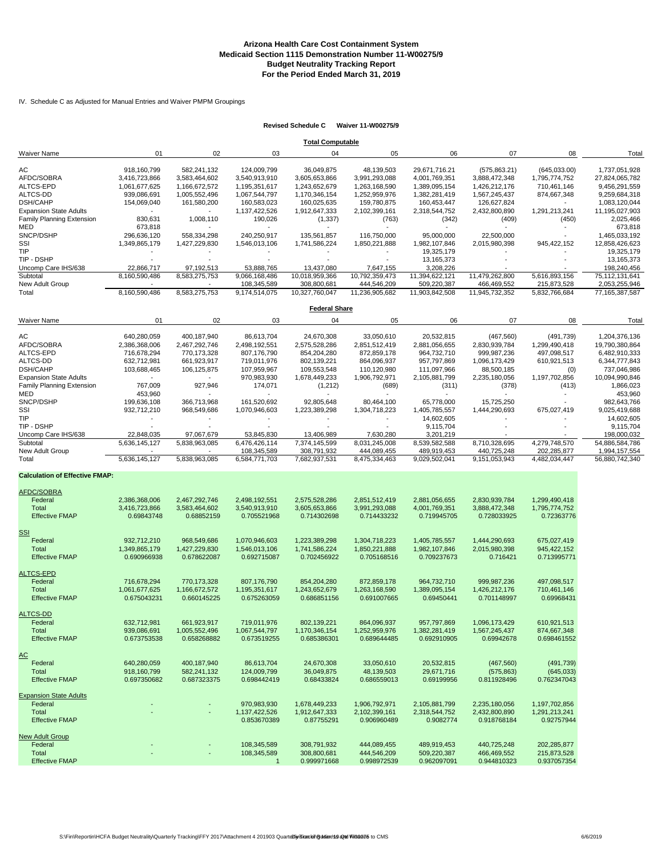#### IV. Schedule C as Adjusted for Manual Entries and Waiver PMPM Groupings

#### **Revised Schedule C Waiver 11-W00275/9**

|                                       |                          |               |                              | <b>Total Computable</b>      |                              |                |                              |               |                                 |
|---------------------------------------|--------------------------|---------------|------------------------------|------------------------------|------------------------------|----------------|------------------------------|---------------|---------------------------------|
| <b>Waiver Name</b>                    | 01                       | 02            | 03                           | 04                           | 05                           | 06             | 07                           | 08            | Tota                            |
|                                       |                          |               |                              |                              |                              |                |                              |               |                                 |
| АC                                    | 918,160,799              | 582,241,132   | 124,009,799                  | 36,049,875                   | 48,139,503                   | 29,671,716.21  | (575, 863.21)                | (645,033.00)  | 1,737,051,928                   |
| AFDC/SOBRA                            | 3,416,723,866            | 3,583,464,602 | 3,540,913,910                | 3,605,653,866                | 3,991,293,088                | 4,001,769,351  | 3,888,472,348                | 1,795,774,752 | 27,824,065,782                  |
| ALTCS-EPD                             | 1,061,677,625            | 1,166,672,572 | 1,195,351,617                | 1,243,652,679                | 1,263,168,590                | 1,389,095,154  | 1,426,212,176                | 710,461,146   | 9,456,291,559                   |
| ALTCS-DD                              | 939,086,691              | 1,005,552,496 | 1,067,544,797                | 1,170,346,154                | 1,252,959,976                | 1,382,281,419  | 1,567,245,437                | 874,667,348   | 9,259,684,318                   |
| <b>DSH/CAHP</b>                       | 154,069,040              | 161,580,200   | 160,583,023                  | 160,025,635                  | 159,780,875                  | 160,453,447    | 126,627,824                  |               | 1,083,120,044                   |
| <b>Expansion State Adults</b>         | $\overline{a}$           |               | 1,137,422,526                | 1,912,647,333                | 2,102,399,161                | 2,318,544,752  | 2,432,800,890                | 1,291,213,241 | 11,195,027,903                  |
| <b>Family Planning Extension</b>      | 830,631                  | 1,008,110     | 190,026                      | (1, 337)                     | (763)                        | (342)          | (409)                        | (450)         | 2,025,466                       |
| MED                                   | 673,818                  |               |                              |                              |                              |                |                              |               | 673,818                         |
|                                       |                          |               |                              |                              |                              |                |                              |               |                                 |
| SNCP/DSHP                             | 296,636,120              | 558,334,298   | 240,250,917                  | 135,561,857                  | 116,750,000                  | 95,000,000     | 22,500,000                   |               | 1,465,033,192                   |
| SSI                                   | 1,349,865,179            | 1,427,229,830 | 1,546,013,106                | 1,741,586,224                | 1,850,221,888                | 1,982,107,846  | 2,015,980,398                | 945,422,152   | 12,858,426,623                  |
| TIP                                   |                          |               |                              |                              |                              | 19,325,179     |                              |               | 19,325,179                      |
| TIP - DSHP                            | $\overline{\phantom{a}}$ |               |                              | $\overline{\phantom{a}}$     | $\overline{\phantom{a}}$     | 13,165,373     |                              |               | 13,165,373                      |
| Uncomp Care IHS/638                   | 22,866,717               | 97,192,513    | 53,888,765                   | 13,437,080                   | 7,647,155                    | 3,208,226      |                              |               | 198,240,456                     |
| Subtotal                              | 8,160,590,486            | 8,583,275,753 | 9,066,168,486                | 10,018,959,366               | 10,792,359,473               | 11,394,622,121 | 11,479,262,800               | 5,616,893,156 | 75,112,131,641                  |
| New Adult Group                       |                          |               | 108,345,589                  | 308,800,681                  | 444,546,209                  | 509,220,387    | 466,469,552                  | 215,873,528   | 2,053,255,946                   |
| Total                                 | 8,160,590,486            | 8,583,275,753 | 9,174,514,075                | 10,327,760,047               | 11,236,905,682               | 11,903,842,508 |                              |               | 77, 165, 387, 587               |
|                                       |                          |               |                              |                              |                              |                | 11,945,732,352               | 5,832,766,684 |                                 |
|                                       |                          |               |                              | <b>Federal Share</b>         |                              |                |                              |               |                                 |
| <b>Waiver Name</b>                    | 01                       | 02            | 03                           | 04                           | 05                           | 06             | 07                           | 08            | Tota                            |
| АC                                    | 640,280,059              | 400,187,940   | 86,613,704                   | 24,670,308                   | 33,050,610                   | 20,532,815     | (467, 560)                   | (491, 739)    | 1,204,376,136                   |
| AFDC/SOBRA                            | 2,386,368,006            | 2,467,292,746 | 2,498,192,551                | 2,575,528,286                | 2,851,512,419                | 2,881,056,655  | 2,830,939,784                | 1,299,490,418 | 19,790,380,864                  |
|                                       |                          |               |                              |                              |                              |                |                              |               |                                 |
| ALTCS-EPD                             | 716,678,294              | 770,173,328   | 807,176,790                  | 854,204,280                  | 872,859,178                  | 964,732,710    | 999,987,236                  | 497,098,517   | 6,482,910,333                   |
| ALTCS-DD                              | 632,712,981              | 661,923,917   | 719,011,976                  | 802,139,221                  | 864,096,937                  | 957,797,869    | 1,096,173,429                | 610,921,513   | 6,344,777,843                   |
| <b>DSH/CAHP</b>                       | 103,688,465              | 106,125,875   | 107,959,967                  | 109,553,548                  | 110,120,980                  | 111,097,966    | 88,500,185                   | (0)           | 737,046,986                     |
| <b>Expansion State Adults</b>         |                          |               | 970,983,930                  | 1,678,449,233                | 1,906,792,971                | 2,105,881,799  | 2,235,180,056                | 1,197,702,856 | 10,094,990,846                  |
| <b>Family Planning Extension</b>      | 767,009                  | 927,946       | 174,071                      | (1,212)                      | (689)                        | (311)          | (378)                        | (413)         | 1,866,023                       |
| MED                                   |                          |               |                              |                              |                              |                |                              |               |                                 |
|                                       | 453,960                  |               |                              |                              |                              |                |                              |               | 453,960                         |
| SNCP/DSHP                             | 199,636,108              | 366,713,968   | 161,520,692                  | 92,805,648                   | 80,464,100                   | 65,778,000     | 15,725,250                   |               | 982,643,766                     |
| SSI                                   | 932,712,210              | 968,549,686   | 1,070,946,603                | 1,223,389,298                | 1,304,718,223                | 1,405,785,557  | 1,444,290,693                | 675,027,419   | 9,025,419,688                   |
| TIP                                   | $\overline{\phantom{a}}$ |               |                              | $\overline{\phantom{a}}$     |                              | 14,602,605     |                              |               | 14,602,605                      |
| TIP - DSHP                            |                          |               |                              |                              |                              | 9,115,704      |                              |               | 9,115,704                       |
| Uncomp Care IHS/638                   | 22,848,035               | 97,067,679    | 53,845,830                   | 13,406,989                   | 7,630,280                    | 3,201,219      |                              |               | 198,000,032                     |
| Subtotal                              | 5,636,145,127            | 5,838,963,085 | 6,476,426,114                | 7,374,145,599                | 8,031,245,008                | 8,539,582,588  | 8,710,328,695                | 4,279,748,570 | 54,886,584,786                  |
|                                       |                          |               |                              |                              |                              | 489,919,453    |                              | 202,285,877   |                                 |
| New Adult Group<br>Total              | 5,636,145,127            | 5,838,963,085 | 108,345,589<br>6,584,771,703 | 308,791,932<br>7,682,937,531 | 444,089,455<br>8,475,334,463 | 9,029,502,041  | 440,725,248<br>9,151,053,943 | 4,482,034,447 | 1,994,157,554<br>56,880,742,340 |
|                                       |                          |               |                              |                              |                              |                |                              |               |                                 |
| <b>Calculation of Effective FMAP:</b> |                          |               |                              |                              |                              |                |                              |               |                                 |
| AFDC/SOBRA                            |                          |               |                              |                              |                              |                |                              |               |                                 |
| Federal                               | 2,386,368,006            | 2,467,292,746 | 2,498,192,551                | 2,575,528,286                | 2,851,512,419                | 2,881,056,655  | 2,830,939,784                | 1,299,490,418 |                                 |
|                                       |                          |               |                              |                              |                              |                |                              |               |                                 |
| Total                                 | 3,416,723,866            | 3,583,464,602 | 3,540,913,910                | 3,605,653,866                | 3,991,293,088                | 4,001,769,351  | 3,888,472,348                | 1,795,774,752 |                                 |
| <b>Effective FMAP</b>                 | 0.69843748               | 0.68852159    | 0.705521968                  | 0.714302698                  | 0.714433232                  | 0.719945705    | 0.728033925                  | 0.72363776    |                                 |
|                                       |                          |               |                              |                              |                              |                |                              |               |                                 |
| <b>SSI</b>                            |                          |               |                              |                              |                              |                |                              |               |                                 |
| Federal                               | 932,712,210              | 968,549,686   | 1,070,946,603                | 1,223,389,298                | 1,304,718,223                | 1,405,785,557  | 1,444,290,693                | 675,027,419   |                                 |
| <b>Total</b>                          | 1,349,865,179            | 1,427,229,830 | 1,546,013,106                | 1,741,586,224                | 1,850,221,888                | 1,982,107,846  | 2,015,980,398                | 945,422,152   |                                 |
| <b>Effective FMAP</b>                 | 0.690966938              | 0.678622087   | 0.692715087                  | 0.702456922                  | 0.705168516                  | 0.709237673    | 0.716421                     | 0.713995771   |                                 |
|                                       |                          |               |                              |                              |                              |                |                              |               |                                 |
| <b>ALTCS-EPD</b>                      |                          |               |                              |                              |                              |                |                              |               |                                 |
|                                       |                          |               |                              |                              |                              |                |                              |               |                                 |
| Federal                               | 716,678,294              | 770,173,328   | 807,176,790                  | 854,204,280                  | 872,859,178                  | 964,732,710    | 999,987,236                  | 497,098,517   |                                 |
| <b>Total</b>                          | 1,061,677,625            | 1,166,672,572 | 1,195,351,617                | 1,243,652,679                | 1,263,168,590                | 1,389,095,154  | 1,426,212,176                | 710,461,146   |                                 |
| <b>Effective FMAP</b>                 | 0.675043231              | 0.660145225   | 0.675263059                  | 0.686851156                  | 0.691007665                  | 0.69450441     | 0.701148997                  | 0.69968431    |                                 |
|                                       |                          |               |                              |                              |                              |                |                              |               |                                 |
| ALTCS-DD                              |                          |               |                              |                              |                              |                |                              |               |                                 |
| Federal                               | 632,712,981              | 661.923.917   | 719,011,976                  | 802.139.221                  | 864.096.937                  | 957,797,869    | 1,096,173,429                | 610,921,513   |                                 |
| Total                                 |                          | 1,005,552,496 |                              | 1,170,346,154                | 1,252,959,976                | 1,382,281,419  |                              | 874,667,348   |                                 |
|                                       | 939,086,691              |               | 1,067,544,797                |                              |                              |                | 1,567,245,437                |               |                                 |
| <b>Effective FMAP</b>                 | 0.673753538              | 0.658268882   | 0.673519255                  | 0.685386301                  | 0.689644485                  | 0.692910905    | 0.69942678                   | 0.698461552   |                                 |
|                                       |                          |               |                              |                              |                              |                |                              |               |                                 |
| <u>AC</u>                             |                          |               |                              |                              |                              |                |                              |               |                                 |
| Federal                               | 640,280,059              | 400,187,940   | 86,613,704                   | 24,670,308                   | 33,050,610                   | 20,532,815     | (467, 560)                   | (491, 739)    |                                 |
| Total                                 | 918, 160, 799            | 582,241,132   | 124,009,799                  | 36,049,875                   | 48,139,503                   | 29,671,716     | (575, 863)                   | (645, 033)    |                                 |
| <b>Effective FMAP</b>                 | 0.697350682              | 0.687323375   | 0.698442419                  | 0.68433824                   | 0.686559013                  | 0.69199956     | 0.811928496                  | 0.762347043   |                                 |
|                                       |                          |               |                              |                              |                              |                |                              |               |                                 |
| <b>Expansion State Adults</b>         |                          |               |                              |                              |                              |                |                              |               |                                 |
| Federal                               |                          |               | 970,983,930                  | 1,678,449,233                | 1,906,792,971                | 2,105,881,799  | 2,235,180,056                | 1,197,702,856 |                                 |
|                                       |                          |               |                              |                              |                              |                |                              |               |                                 |
| Total                                 |                          |               | 1,137,422,526                | 1,912,647,333                | 2,102,399,161                | 2,318,544,752  | 2,432,800,890                | 1,291,213,241 |                                 |
| <b>Effective FMAP</b>                 |                          |               | 0.853670389                  | 0.87755291                   | 0.906960489                  | 0.9082774      | 0.918768184                  | 0.92757944    |                                 |
|                                       |                          |               |                              |                              |                              |                |                              |               |                                 |
| <b>New Adult Group</b>                |                          |               |                              |                              |                              |                |                              |               |                                 |
| Federal                               |                          | -             | 108,345,589                  | 308,791,932                  | 444,089,455                  | 489,919,453    | 440,725,248                  | 202,285,877   |                                 |
| Total                                 |                          |               | 108,345,589                  | 308,800,681                  | 444,546,209                  | 509,220,387    | 466,469,552                  | 215,873,528   |                                 |
| <b>Effective FMAP</b>                 |                          |               | $\mathbf{1}$                 | 0.999971668                  | 0.998972539                  | 0.962097091    | 0.944810323                  | 0.937057354   |                                 |
|                                       |                          |               |                              |                              |                              |                |                              |               |                                 |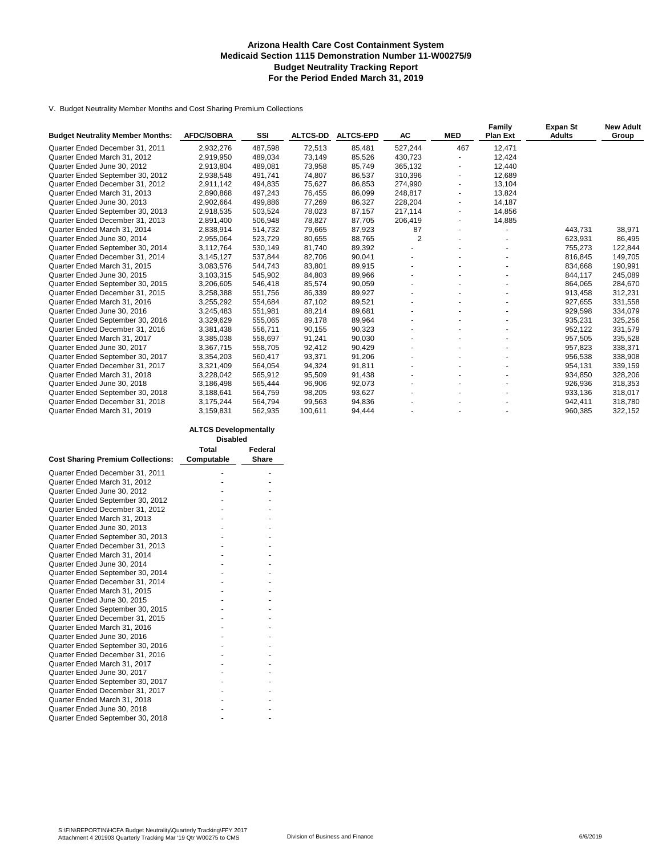#### **Arizona Health Care Cost Containment System Medicaid Section 1115 Demonstration Number 11-W00275/9 Budget Neutrality Tracking Report For the Period Ended March 31, 2019**

V. Budget Neutrality Member Months and Cost Sharing Premium Collections

| <b>Budget Neutrality Member Months:</b> | <b>AFDC/SOBRA</b> | SSI     | <b>ALTCS-DD</b> | <b>ALTCS-EPD</b> | AC             | <b>MED</b>     | <b>Family</b><br><b>Plan Ext</b> | <b>Expan St</b><br><b>Adults</b> | <b>New Adult</b><br>Group |
|-----------------------------------------|-------------------|---------|-----------------|------------------|----------------|----------------|----------------------------------|----------------------------------|---------------------------|
| Quarter Ended December 31, 2011         | 2,932,276         | 487,598 | 72,513          | 85,481           | 527,244        | 467            | 12,471                           |                                  |                           |
| Quarter Ended March 31, 2012            | 2,919,950         | 489,034 | 73,149          | 85,526           | 430,723        |                | 12,424                           |                                  |                           |
| Quarter Ended June 30, 2012             | 2,913,804         | 489,081 | 73,958          | 85,749           | 365,132        |                | 12,440                           |                                  |                           |
| Quarter Ended September 30, 2012        | 2,938,548         | 491.741 | 74,807          | 86,537           | 310.396        | $\blacksquare$ | 12,689                           |                                  |                           |
| Quarter Ended December 31, 2012         | 2,911,142         | 494,835 | 75,627          | 86,853           | 274,990        |                | 13,104                           |                                  |                           |
| Quarter Ended March 31, 2013            | 2,890,868         | 497,243 | 76,455          | 86,099           | 248,817        |                | 13,824                           |                                  |                           |
| Quarter Ended June 30, 2013             | 2.902.664         | 499.886 | 77,269          | 86,327           | 228,204        |                | 14.187                           |                                  |                           |
| Quarter Ended September 30, 2013        | 2,918,535         | 503,524 | 78,023          | 87,157           | 217,114        |                | 14,856                           |                                  |                           |
| Quarter Ended December 31, 2013         | 2,891,400         | 506,948 | 78,827          | 87,705           | 206,419        |                | 14,885                           |                                  |                           |
| Quarter Ended March 31, 2014            | 2,838,914         | 514,732 | 79,665          | 87,923           | 87             |                |                                  | 443,731                          | 38,971                    |
| Quarter Ended June 30, 2014             | 2,955,064         | 523,729 | 80,655          | 88,765           | $\overline{2}$ |                |                                  | 623,931                          | 86,495                    |
| Quarter Ended September 30, 2014        | 3,112,764         | 530,149 | 81,740          | 89,392           |                |                |                                  | 755,273                          | 122,844                   |
| Quarter Ended December 31, 2014         | 3,145,127         | 537,844 | 82,706          | 90,041           |                |                |                                  | 816,845                          | 149,705                   |
| Quarter Ended March 31, 2015            | 3,083,576         | 544,743 | 83,801          | 89,915           |                |                |                                  | 834.668                          | 190,991                   |
| Quarter Ended June 30, 2015             | 3,103,315         | 545,902 | 84,803          | 89,966           |                |                |                                  | 844,117                          | 245,089                   |
| Quarter Ended September 30, 2015        | 3,206,605         | 546,418 | 85,574          | 90,059           |                |                |                                  | 864,065                          | 284,670                   |
| Quarter Ended December 31, 2015         | 3,258,388         | 551,756 | 86,339          | 89,927           |                |                |                                  | 913,458                          | 312,231                   |
| Quarter Ended March 31, 2016            | 3,255,292         | 554,684 | 87,102          | 89,521           |                |                |                                  | 927,655                          | 331,558                   |
| Quarter Ended June 30, 2016             | 3,245,483         | 551,981 | 88,214          | 89,681           |                |                |                                  | 929,598                          | 334,079                   |
| Quarter Ended September 30, 2016        | 3,329,629         | 555,065 | 89,178          | 89,964           |                |                |                                  | 935,231                          | 325,256                   |
| Quarter Ended December 31, 2016         | 3,381,438         | 556,711 | 90,155          | 90,323           |                |                |                                  | 952,122                          | 331,579                   |
| Quarter Ended March 31, 2017            | 3,385,038         | 558,697 | 91,241          | 90,030           |                |                |                                  | 957,505                          | 335,528                   |
| Quarter Ended June 30, 2017             | 3,367,715         | 558,705 | 92,412          | 90,429           |                |                |                                  | 957,823                          | 338,371                   |
| Quarter Ended September 30, 2017        | 3,354,203         | 560,417 | 93,371          | 91,206           |                |                |                                  | 956,538                          | 338,908                   |
| Quarter Ended December 31, 2017         | 3,321,409         | 564,054 | 94,324          | 91,811           |                |                |                                  | 954,131                          | 339,159                   |
| Quarter Ended March 31, 2018            | 3,228,042         | 565,912 | 95,509          | 91,438           |                |                |                                  | 934,850                          | 328,206                   |
| Quarter Ended June 30, 2018             | 3,186,498         | 565,444 | 96,906          | 92,073           |                |                |                                  | 926,936                          | 318,353                   |
| Quarter Ended September 30, 2018        | 3,188,641         | 564,759 | 98,205          | 93,627           |                |                |                                  | 933,136                          | 318,017                   |
| Quarter Ended December 31, 2018         | 3,175,244         | 564.794 | 99,563          | 94,836           |                |                |                                  | 942,411                          | 318,780                   |
| Quarter Ended March 31, 2019            | 3,159,831         | 562,935 | 100,611         | 94,444           |                |                |                                  | 960,385                          | 322,152                   |

|                                          | <b>ALTCS Developmentally</b><br><b>Disabled</b> |              |  |  |  |  |
|------------------------------------------|-------------------------------------------------|--------------|--|--|--|--|
|                                          | Total                                           | Federal      |  |  |  |  |
| <b>Cost Sharing Premium Collections:</b> | Computable                                      | <b>Share</b> |  |  |  |  |
| Quarter Ended December 31, 2011          |                                                 |              |  |  |  |  |
| Quarter Ended March 31, 2012             |                                                 |              |  |  |  |  |
| Quarter Ended June 30, 2012              |                                                 |              |  |  |  |  |
| Quarter Ended September 30, 2012         |                                                 |              |  |  |  |  |
| Quarter Ended December 31, 2012          |                                                 |              |  |  |  |  |
| Quarter Ended March 31, 2013             |                                                 |              |  |  |  |  |
| Quarter Ended June 30, 2013              |                                                 |              |  |  |  |  |
| Quarter Ended September 30, 2013         |                                                 |              |  |  |  |  |
| Quarter Ended December 31, 2013          |                                                 |              |  |  |  |  |
| Quarter Ended March 31, 2014             |                                                 |              |  |  |  |  |
| Quarter Ended June 30, 2014              |                                                 |              |  |  |  |  |
| Quarter Ended September 30, 2014         |                                                 |              |  |  |  |  |
| Quarter Ended December 31, 2014          |                                                 |              |  |  |  |  |
| Quarter Ended March 31, 2015             |                                                 |              |  |  |  |  |
| Quarter Ended June 30, 2015              |                                                 |              |  |  |  |  |
| Quarter Ended September 30, 2015         |                                                 |              |  |  |  |  |
| Quarter Ended December 31, 2015          |                                                 |              |  |  |  |  |
| Quarter Ended March 31, 2016             |                                                 |              |  |  |  |  |
| Quarter Ended June 30, 2016              |                                                 |              |  |  |  |  |
| Quarter Ended September 30, 2016         |                                                 |              |  |  |  |  |
| Quarter Ended December 31, 2016          |                                                 |              |  |  |  |  |
| Quarter Ended March 31, 2017             |                                                 |              |  |  |  |  |
| Quarter Ended June 30, 2017              |                                                 |              |  |  |  |  |
| Quarter Ended September 30, 2017         |                                                 |              |  |  |  |  |
| Quarter Ended December 31, 2017          |                                                 |              |  |  |  |  |
| Quarter Ended March 31, 2018             |                                                 |              |  |  |  |  |
| Quarter Ended June 30, 2018              |                                                 |              |  |  |  |  |
| Quarter Ended September 30, 2018         |                                                 |              |  |  |  |  |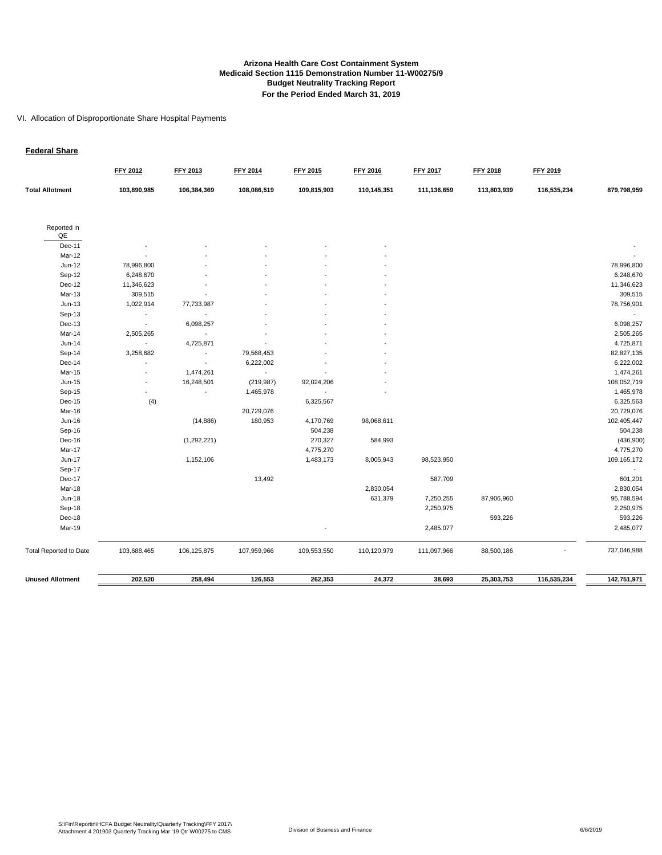#### VI. Allocation of Disproportionate Share Hospital Payments

#### **Federal Share**

|                               | FFY 2012                 | FFY 2013                 | <b>FFY 2014</b> | FFY 2015    | FFY 2016    | <b>FFY 2017</b> | <b>FFY 2018</b> | FFY 2019    |                |
|-------------------------------|--------------------------|--------------------------|-----------------|-------------|-------------|-----------------|-----------------|-------------|----------------|
| <b>Total Allotment</b>        | 103,890,985              | 106,384,369              | 108,086,519     | 109,815,903 | 110,145,351 | 111,136,659     | 113,803,939     | 116,535,234 | 879,798,959    |
| Reported in                   |                          |                          |                 |             |             |                 |                 |             |                |
| QE                            |                          |                          |                 |             |             |                 |                 |             |                |
| Dec-11                        |                          |                          |                 |             |             |                 |                 |             |                |
| Mar-12                        |                          |                          |                 |             |             |                 |                 |             |                |
| $Jun-12$                      | 78,996,800               |                          |                 |             |             |                 |                 |             | 78,996,800     |
| Sep-12                        | 6,248,670                |                          |                 |             |             |                 |                 |             | 6,248,670      |
| Dec-12                        | 11,346,623               |                          |                 |             |             |                 |                 |             | 11,346,623     |
| Mar-13                        | 309,515                  |                          |                 |             |             |                 |                 |             | 309,515        |
| $Jun-13$                      | 1,022,914                | 77,733,987               |                 |             |             |                 |                 |             | 78,756,901     |
| Sep-13                        | $\overline{\phantom{a}}$ | $\blacksquare$           |                 |             |             |                 |                 |             | $\blacksquare$ |
| $Dec-13$                      | $\overline{\phantom{a}}$ | 6,098,257                |                 |             |             |                 |                 |             | 6,098,257      |
| Mar-14                        | 2,505,265                | $\sim$                   |                 |             |             |                 |                 |             | 2,505,265      |
| Jun-14                        | $\overline{\phantom{a}}$ | 4,725,871                |                 |             |             |                 |                 |             | 4,725,871      |
| Sep-14                        | 3,258,682                | $\overline{\phantom{a}}$ | 79,568,453      |             |             |                 |                 |             | 82,827,135     |
| Dec-14                        |                          |                          | 6,222,002       |             |             |                 |                 |             | 6,222,002      |
| Mar-15                        |                          | 1,474,261                | $\mathcal{L}$   |             |             |                 |                 |             | 1,474,261      |
| Jun-15                        |                          | 16,248,501               | (219, 987)      | 92,024,206  |             |                 |                 |             | 108,052,719    |
| Sep-15                        |                          | $\blacksquare$           | 1,465,978       |             |             |                 |                 |             | 1,465,978      |
| Dec-15                        | (4)                      |                          |                 | 6,325,567   |             |                 |                 |             | 6,325,563      |
| Mar-16                        |                          |                          | 20,729,076      |             |             |                 |                 |             | 20,729,076     |
| Jun-16                        |                          | (14, 886)                | 180,953         | 4,170,769   | 98,068,611  |                 |                 |             | 102,405,447    |
| Sep-16                        |                          |                          |                 | 504,238     |             |                 |                 |             | 504,238        |
| Dec-16                        |                          | (1, 292, 221)            |                 | 270,327     | 584,993     |                 |                 |             | (436,900)      |
| Mar-17                        |                          |                          |                 | 4,775,270   |             |                 |                 |             | 4,775,270      |
| Jun-17                        |                          | 1,152,106                |                 | 1,483,173   | 8,005,943   | 98,523,950      |                 |             | 109,165,172    |
| Sep-17                        |                          |                          |                 |             |             |                 |                 |             | $\blacksquare$ |
| Dec-17                        |                          |                          | 13,492          |             |             | 587,709         |                 |             | 601,201        |
| Mar-18                        |                          |                          |                 |             | 2,830,054   |                 |                 |             | 2,830,054      |
| <b>Jun-18</b>                 |                          |                          |                 |             | 631,379     | 7,250,255       | 87,906,960      |             | 95,788,594     |
| Sep-18                        |                          |                          |                 |             |             | 2,250,975       |                 |             | 2,250,975      |
| Dec-18                        |                          |                          |                 |             |             |                 | 593,226         |             | 593,226        |
| Mar-19                        |                          |                          |                 |             |             | 2,485,077       |                 |             | 2,485,077      |
| <b>Total Reported to Date</b> | 103,688,465              | 106, 125, 875            | 107,959,966     | 109,553,550 | 110,120,979 | 111,097,966     | 88,500,186      |             | 737,046,988    |
| <b>Unused Allotment</b>       | 202,520                  | 258,494                  | 126,553         | 262,353     | 24,372      | 38,693          | 25,303,753      | 116,535,234 | 142,751,971    |
|                               |                          |                          |                 |             |             |                 |                 |             |                |